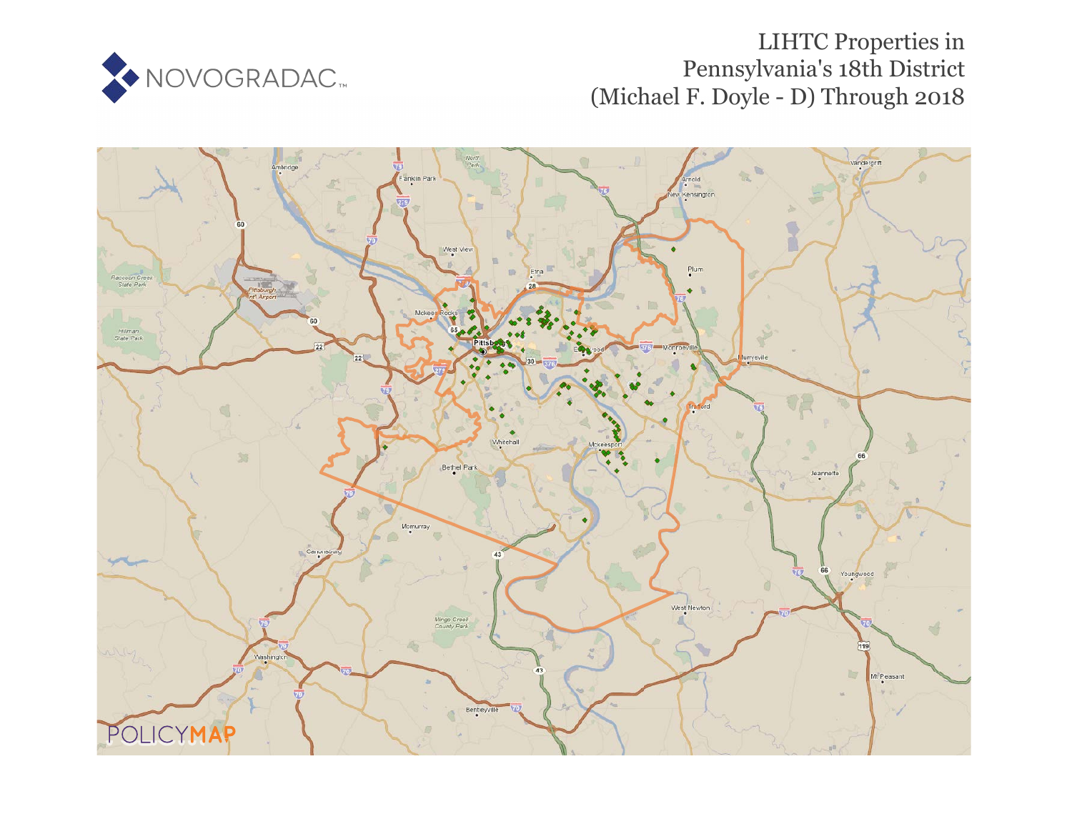

# LIHTC Properties in Pennsylvania's 18th District (Michael F. Doyle - D) Through 2018

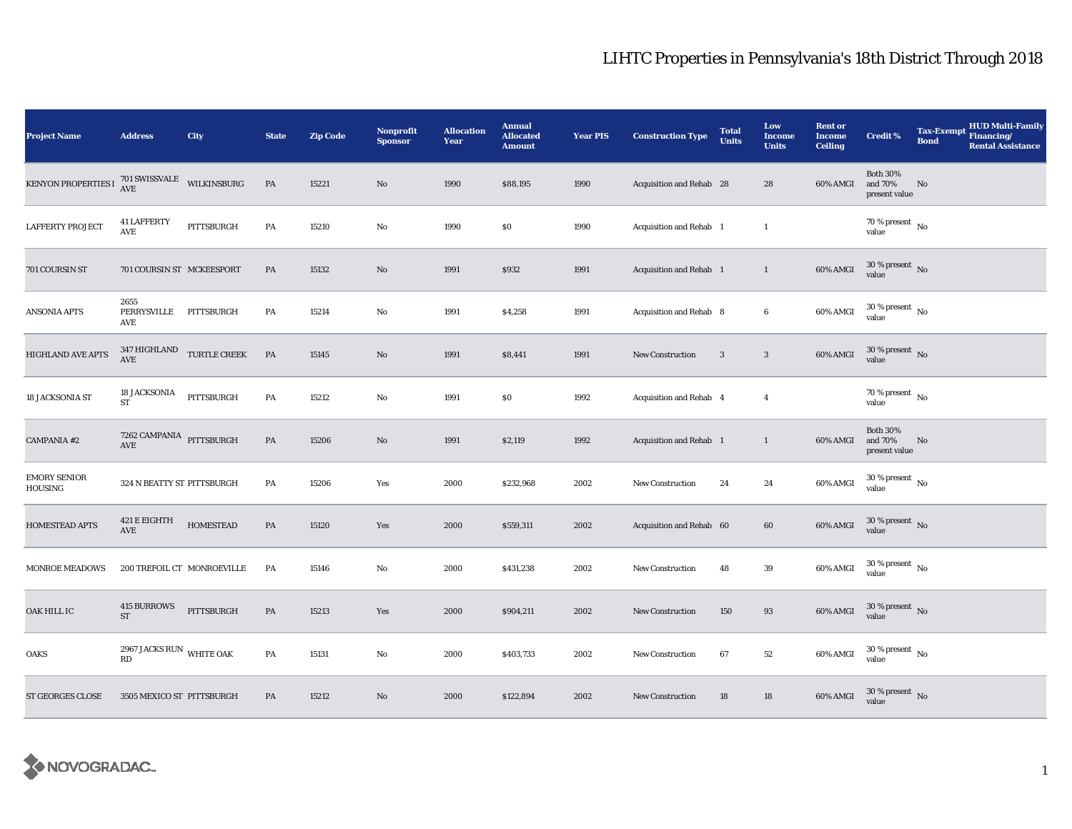| <b>Project Name</b>            | <b>Address</b>                                     | City                                  | <b>State</b>  | <b>Zip Code</b> | <b>Nonprofit</b><br><b>Sponsor</b> | <b>Allocation</b><br>Year | <b>Annual</b><br><b>Allocated</b><br><b>Amount</b> | <b>Year PIS</b> | <b>Construction Type</b> | <b>Total</b><br><b>Units</b> | Low<br>Income<br><b>Units</b> | <b>Rent or</b><br><b>Income</b><br><b>Ceiling</b> | <b>Credit %</b>                             | <b>Tax-Exempt</b><br><b>Bond</b> | <b>HUD Multi-Family</b><br>Financing/<br><b>Rental Assistance</b> |
|--------------------------------|----------------------------------------------------|---------------------------------------|---------------|-----------------|------------------------------------|---------------------------|----------------------------------------------------|-----------------|--------------------------|------------------------------|-------------------------------|---------------------------------------------------|---------------------------------------------|----------------------------------|-------------------------------------------------------------------|
| <b>KENYON PROPERTIES I</b>     | $701\,$ SWISSVALE $_{\,}$ WILKINSBURG AVE          |                                       | PA            | 15221           | No                                 | 1990                      | \$88,195                                           | 1990            | Acquisition and Rehab 28 |                              | 28                            | 60% AMGI                                          | <b>Both 30%</b><br>and 70%<br>present value | No                               |                                                                   |
| <b>LAFFERTY PROJECT</b>        | <b>41 LAFFERTY</b><br>AVE                          | PITTSBURGH                            | PA            | 15210           | No                                 | 1990                      | \$0                                                | 1990            | Acquisition and Rehab 1  |                              | $\mathbf{1}$                  |                                                   | $70\,\%$ present $\,$ No $\,$<br>value      |                                  |                                                                   |
| 701 COURSIN ST                 | 701 COURSIN ST MCKEESPORT                          |                                       | PA            | 15132           | No                                 | 1991                      | \$932                                              | 1991            | Acquisition and Rehab 1  |                              | $\mathbf{1}$                  | 60% AMGI                                          | $30$ % present $_{\rm{No}}$                 |                                  |                                                                   |
| ANSONIA APTS                   | 2655<br>PERRYSVILLE PITTSBURGH<br>AVE              |                                       | PA            | 15214           | No                                 | 1991                      | \$4,258                                            | 1991            | Acquisition and Rehab 8  |                              | $\boldsymbol{6}$              | 60% AMGI                                          | $30$ % present $\,$ No $\,$<br>value        |                                  |                                                                   |
| <b>HIGHLAND AVE APTS</b>       | AVE                                                | $347\,$ HIGHLAND $\quad$ TURTLE CREEK | PA            | 15145           | No                                 | 1991                      | \$8,441                                            | 1991            | <b>New Construction</b>  | 3                            | $\mathbf{3}$                  | 60% AMGI                                          | $30$ % present $\,$ No $\,$<br>value        |                                  |                                                                   |
| 18 JACKSONIA ST                | 18 JACKSONIA<br>${\rm ST}$                         | PITTSBURGH                            | ${\bf PA}$    | 15212           | $\mathbf{N}\mathbf{o}$             | 1991                      | S <sub>0</sub>                                     | 1992            | Acquisition and Rehab 4  |                              | $\overline{4}$                |                                                   | 70 % present $\hbox{~No}$<br>value          |                                  |                                                                   |
| <b>CAMPANIA #2</b>             | $7262$ CAMPANIA $\:$ $\space$ PITTSBURGH AVE       |                                       | $\mathbf{PA}$ | 15206           | No                                 | 1991                      | \$2,119                                            | 1992            | Acquisition and Rehab 1  |                              | $\mathbf{1}$                  | 60% AMGI                                          | <b>Both 30%</b><br>and 70%<br>present value | $\mathbf{N}\mathbf{o}$           |                                                                   |
| <b>EMORY SENIOR</b><br>HOUSING | 324 N BEATTY ST PITTSBURGH                         |                                       | PA            | 15206           | Yes                                | 2000                      | \$232,968                                          | 2002            | New Construction         | 24                           | 24                            | 60% AMGI                                          | $30\,\%$ present $\,$ No $\,$<br>value      |                                  |                                                                   |
| HOMESTEAD APTS                 | 421 E EIGHTH<br>$\operatorname{AVE}$               | <b>HOMESTEAD</b>                      | PA            | 15120           | Yes                                | 2000                      | \$559,311                                          | 2002            | Acquisition and Rehab 60 |                              | 60                            | 60% AMGI                                          | $30$ % present $\,$ No $\,$<br>value        |                                  |                                                                   |
| <b>MONROE MEADOWS</b>          |                                                    | 200 TREFOIL CT MONROEVILLE            | PA            | 15146           | No                                 | 2000                      | \$431,238                                          | 2002            | New Construction         | 48                           | $\bf 39$                      | 60% AMGI                                          | $30$ % present $\,$ No $\,$<br>value        |                                  |                                                                   |
| OAK HILL IC                    | 415 BURROWS<br>${\rm ST}$                          | PITTSBURGH                            | PA            | 15213           | Yes                                | 2000                      | \$904,211                                          | 2002            | <b>New Construction</b>  | 150                          | $\bf{93}$                     | 60% AMGI                                          | $30$ % present $\,$ No $\,$<br>value        |                                  |                                                                   |
| OAKS                           | 2967 JACKS RUN WHITE OAK<br>$\mathbf{R}\mathbf{D}$ |                                       | PA            | 15131           | No                                 | 2000                      | \$403,733                                          | 2002            | New Construction         | 67                           | $52\,$                        | 60% AMGI                                          | $30$ % present $\,$ No value                |                                  |                                                                   |
| <b>ST GEORGES CLOSE</b>        | 3505 MEXICO ST PITTSBURGH                          |                                       | PA            | 15212           | No                                 | 2000                      | \$122,894                                          | 2002            | <b>New Construction</b>  | 18                           | 18                            | 60% AMGI                                          | $30$ % present $\,$ No value                |                                  |                                                                   |

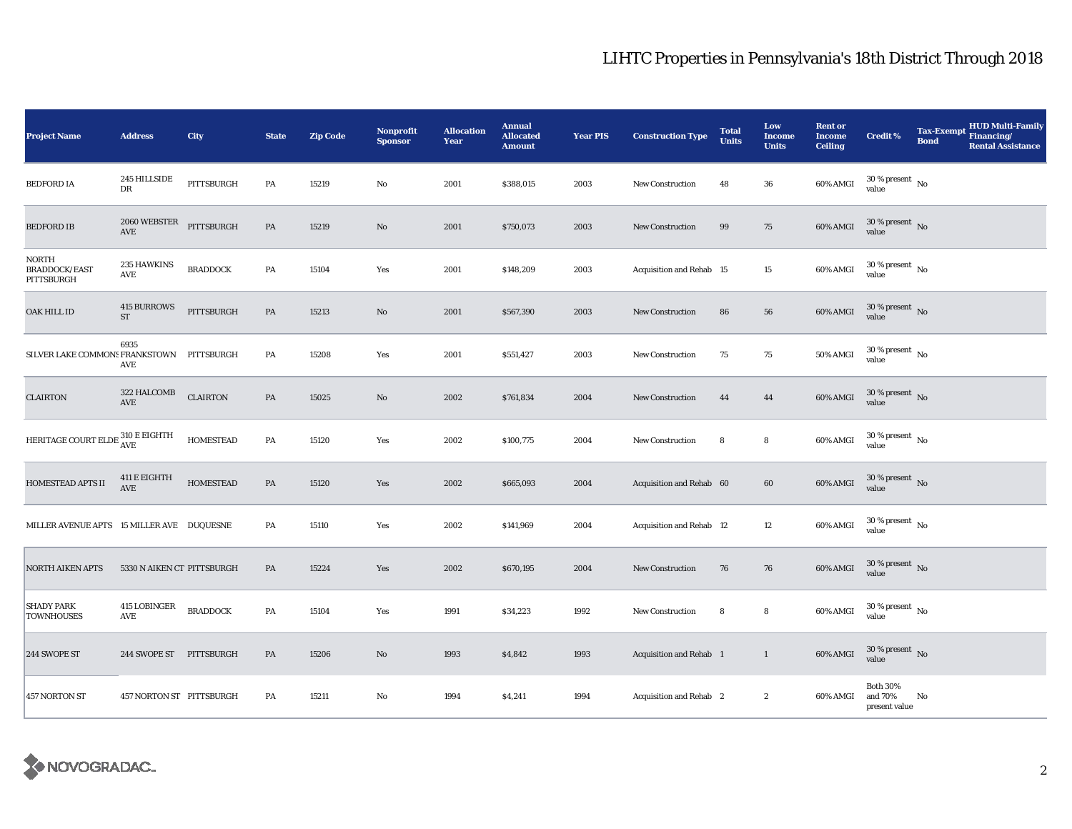| <b>Project Name</b>                                           | <b>Address</b>                                     | City             | <b>State</b> | <b>Zip Code</b> | Nonprofit<br><b>Sponsor</b> | <b>Allocation</b><br><b>Year</b> | <b>Annual</b><br><b>Allocated</b><br><b>Amount</b> | <b>Year PIS</b> | <b>Construction Type</b> | <b>Total</b><br><b>Units</b> | Low<br><b>Income</b><br><b>Units</b> | <b>Rent or</b><br><b>Income</b><br><b>Ceiling</b> | <b>Credit %</b>                             | Tax-Exempt Financing/<br><b>Bond</b> | <b>HUD Multi-Family</b><br><b>Rental Assistance</b> |
|---------------------------------------------------------------|----------------------------------------------------|------------------|--------------|-----------------|-----------------------------|----------------------------------|----------------------------------------------------|-----------------|--------------------------|------------------------------|--------------------------------------|---------------------------------------------------|---------------------------------------------|--------------------------------------|-----------------------------------------------------|
| <b>BEDFORD IA</b>                                             | 245 HILLSIDE<br>DR                                 | PITTSBURGH       | PA           | 15219           | $\mathbf{No}$               | 2001                             | \$388,015                                          | 2003            | New Construction         | 48                           | 36                                   | 60% AMGI                                          | $30$ % present $\,$ No $\,$<br>value        |                                      |                                                     |
| <b>BEDFORD IB</b>                                             | $2060 \mbox{ WEBSTER} \quad \mbox{PITTSBURGH}$ AVE |                  | PA           | 15219           | No                          | 2001                             | \$750,073                                          | 2003            | <b>New Construction</b>  | 99                           | 75                                   | 60% AMGI                                          | 30 % present No<br>value                    |                                      |                                                     |
| NORTH<br><b>BRADDOCK/EAST</b><br>PITTSBURGH                   | 235 HAWKINS<br>AVE                                 | <b>BRADDOCK</b>  | PA           | 15104           | Yes                         | 2001                             | \$148,209                                          | 2003            | Acquisition and Rehab 15 |                              | 15                                   | 60% AMGI                                          | $30\,\%$ present $\,$ No value              |                                      |                                                     |
| OAK HILL ID                                                   | <b>415 BURROWS</b><br>$\operatorname{ST}$          | PITTSBURGH       | PA           | 15213           | No                          | 2001                             | \$567,390                                          | 2003            | <b>New Construction</b>  | 86                           | 56                                   | 60% AMGI                                          | $30\,\%$ present $\,$ No value              |                                      |                                                     |
| SILVER LAKE COMMONS FRANKSTOWN PITTSBURGH                     | 6935<br>AVE                                        |                  | PA           | 15208           | Yes                         | 2001                             | \$551,427                                          | 2003            | <b>New Construction</b>  | 75                           | 75                                   | 50% AMGI                                          | $30$ % present $\,$ No $\,$<br>value        |                                      |                                                     |
| <b>CLAIRTON</b>                                               | 322 HALCOMB<br>$\operatorname{AVE}$                | <b>CLAIRTON</b>  | PA           | 15025           | No                          | 2002                             | \$761,834                                          | 2004            | <b>New Construction</b>  | 44                           | 44                                   | 60% AMGI                                          | $30\,\%$ present $\,$ No value              |                                      |                                                     |
| HERITAGE COURT ELDE $\frac{310 \text{ E EIGHTH}}{\text{AVE}}$ |                                                    | <b>HOMESTEAD</b> | PA           | 15120           | Yes                         | 2002                             | \$100,775                                          | 2004            | <b>New Construction</b>  | 8                            | 8                                    | 60% AMGI                                          | $30\,\%$ present $\,$ No value              |                                      |                                                     |
| <b>HOMESTEAD APTS II</b>                                      | 411 E EIGHTH<br>AVE                                | <b>HOMESTEAD</b> | PA           | 15120           | Yes                         | 2002                             | \$665,093                                          | 2004            | Acquisition and Rehab 60 |                              | 60                                   | 60% AMGI                                          | $30\,\%$ present $\,$ No value              |                                      |                                                     |
| MILLER AVENUE APTS 15 MILLER AVE DUQUESNE                     |                                                    |                  | PA           | 15110           | Yes                         | 2002                             | \$141,969                                          | 2004            | Acquisition and Rehab 12 |                              | 12                                   | 60% AMGI                                          | $30\,\%$ present $\,$ No value              |                                      |                                                     |
| NORTH AIKEN APTS                                              | 5330 N AIKEN CT PITTSBURGH                         |                  | PA           | 15224           | Yes                         | 2002                             | \$670,195                                          | 2004            | <b>New Construction</b>  | 76                           | 76                                   | 60% AMGI                                          | $30\,\%$ present $\,$ No $\,$<br>value      |                                      |                                                     |
| SHADY PARK<br><b>TOWNHOUSES</b>                               | 415 LOBINGER<br>AVE                                | <b>BRADDOCK</b>  | PA           | 15104           | Yes                         | 1991                             | \$34,223                                           | 1992            | New Construction         | 8                            | 8                                    | 60% AMGI                                          | $30\,\%$ present $\,$ No value              |                                      |                                                     |
| 244 SWOPE ST                                                  | 244 SWOPE ST PITTSBURGH                            |                  | PA           | 15206           | No                          | 1993                             | \$4,842                                            | 1993            | Acquisition and Rehab 1  |                              | $\mathbf{1}$                         | 60% AMGI                                          | $30\,\%$ present $\,$ No value              |                                      |                                                     |
| <b>457 NORTON ST</b>                                          | 457 NORTON ST PITTSBURGH                           |                  | PA           | 15211           | $\mathbf{N}\mathbf{o}$      | 1994                             | \$4,241                                            | 1994            | Acquisition and Rehab 2  |                              | $\boldsymbol{2}$                     | 60% AMGI                                          | <b>Both 30%</b><br>and 70%<br>present value | No                                   |                                                     |

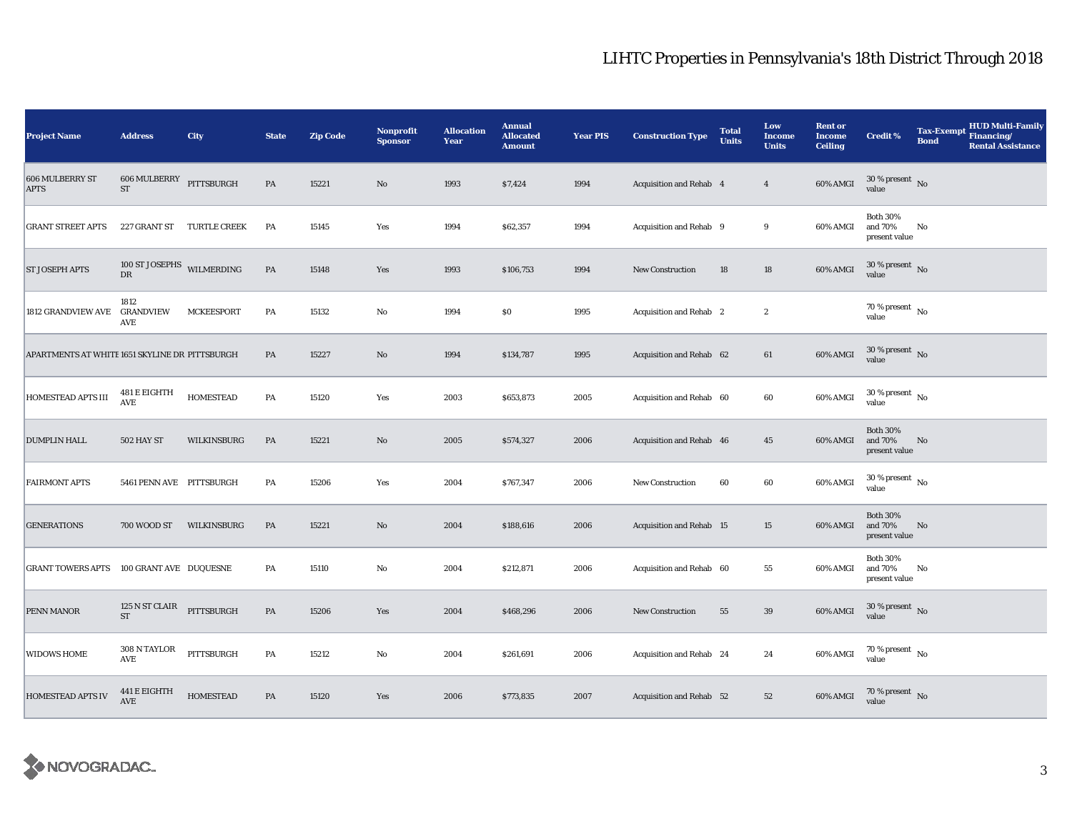| <b>Project Name</b>                            | <b>Address</b>                         | City                | <b>State</b>  | <b>Zip Code</b> | Nonprofit<br><b>Sponsor</b> | <b>Allocation</b><br>Year | <b>Annual</b><br><b>Allocated</b><br><b>Amount</b> | <b>Year PIS</b> | <b>Construction Type</b> | <b>Total</b><br><b>Units</b> | Low<br><b>Income</b><br><b>Units</b> | <b>Rent or</b><br><b>Income</b><br><b>Ceiling</b> | Credit %                                    | <b>Tax-Exempt</b><br><b>Bond</b> | HUD Multi-Family<br>Financing/<br><b>Rental Assistance</b> |
|------------------------------------------------|----------------------------------------|---------------------|---------------|-----------------|-----------------------------|---------------------------|----------------------------------------------------|-----------------|--------------------------|------------------------------|--------------------------------------|---------------------------------------------------|---------------------------------------------|----------------------------------|------------------------------------------------------------|
| 606 MULBERRY ST<br><b>APTS</b>                 | 606 MULBERRY<br>${\rm ST}$             | PITTSBURGH          | PA            | 15221           | No                          | 1993                      | \$7,424                                            | 1994            | Acquisition and Rehab 4  |                              | $\overline{4}$                       | 60% AMGI                                          | $30\,\%$ present $\,$ No value              |                                  |                                                            |
| <b>GRANT STREET APTS</b>                       | 227 GRANT ST                           | <b>TURTLE CREEK</b> | PA            | 15145           | Yes                         | 1994                      | \$62,357                                           | 1994            | Acquisition and Rehab 9  |                              | 9                                    | 60% AMGI                                          | <b>Both 30%</b><br>and 70%<br>present value | No                               |                                                            |
| <b>ST JOSEPH APTS</b>                          | 100 ST JOSEPHS WILMERDING<br><b>DR</b> |                     | $\mathbf{PA}$ | 15148           | Yes                         | 1993                      | \$106,753                                          | 1994            | <b>New Construction</b>  | 18                           | $18\,$                               | 60% AMGI                                          | $30\,\%$ present $\,$ No value              |                                  |                                                            |
| <b>1812 GRANDVIEW AVE</b>                      | 1812<br><b>GRANDVIEW</b><br>AVE        | <b>MCKEESPORT</b>   | PA            | 15132           | No                          | 1994                      | $\$0$                                              | 1995            | Acquisition and Rehab 2  |                              | $\boldsymbol{2}$                     |                                                   | $70$ % present $\,$ No $\,$<br>value        |                                  |                                                            |
| APARTMENTS AT WHITE 1651 SKYLINE DR PITTSBURGH |                                        |                     | $\mathbf{PA}$ | 15227           | $\mathbf{N}\mathbf{o}$      | 1994                      | \$134,787                                          | 1995            | Acquisition and Rehab 62 |                              | 61                                   | 60% AMGI                                          | $30$ % present $\,$ No $\,$<br>value        |                                  |                                                            |
| HOMESTEAD APTS III                             | $481\,\mathrm{E}$ EIGHTH<br>AVE        | <b>HOMESTEAD</b>    | PA            | 15120           | Yes                         | 2003                      | \$653,873                                          | 2005            | Acquisition and Rehab 60 |                              | 60                                   | 60% AMGI                                          | $30\,\%$ present $\,$ No value              |                                  |                                                            |
| <b>DUMPLIN HALL</b>                            | <b>502 HAY ST</b>                      | WILKINSBURG         | PA            | 15221           | $\mathbf{N}\mathbf{o}$      | 2005                      | \$574,327                                          | 2006            | Acquisition and Rehab 46 |                              | 45                                   | 60% AMGI                                          | <b>Both 30%</b><br>and 70%<br>present value | No                               |                                                            |
| <b>FAIRMONT APTS</b>                           | 5461 PENN AVE PITTSBURGH               |                     | PA            | 15206           | Yes                         | 2004                      | \$767,347                                          | 2006            | New Construction         | 60                           | 60                                   | 60% AMGI                                          | $30\,\%$ present $\,$ No $\,$<br>value      |                                  |                                                            |
| <b>GENERATIONS</b>                             | 700 WOOD ST                            | WILKINSBURG         | PA            | 15221           | $\mathbf{No}$               | 2004                      | \$188,616                                          | 2006            | Acquisition and Rehab 15 |                              | 15                                   | 60% AMGI                                          | <b>Both 30%</b><br>and 70%<br>present value | No                               |                                                            |
| <b>GRANT TOWERS APTS</b>                       | 100 GRANT AVE DUQUESNE                 |                     | PA            | 15110           | No                          | 2004                      | \$212,871                                          | 2006            | Acquisition and Rehab 60 |                              | 55                                   | 60% AMGI                                          | <b>Both 30%</b><br>and 70%<br>present value | No                               |                                                            |
| PENN MANOR                                     | 125 N ST CLAIR<br><b>ST</b>            | PITTSBURGH          | $\mathbf{PA}$ | 15206           | Yes                         | 2004                      | \$468,296                                          | 2006            | New Construction         | 55                           | 39                                   | 60% AMGI                                          | 30 % present $\hbox{~No}$<br>value          |                                  |                                                            |
| WIDOWS HOME                                    | $308$ N TAYLOR<br>AVE                  | PITTSBURGH          | PA            | 15212           | No                          | 2004                      | \$261,691                                          | 2006            | Acquisition and Rehab 24 |                              | 24                                   | 60% AMGI                                          | $70\,\%$ present $\,$ No value              |                                  |                                                            |
| <b>HOMESTEAD APTS IV</b>                       | 441 E EIGHTH<br>AVE                    | <b>HOMESTEAD</b>    | PA            | 15120           | Yes                         | 2006                      | \$773,835                                          | 2007            | Acquisition and Rehab 52 |                              | ${\bf 52}$                           | 60% AMGI                                          | $70\,\%$ present $\;$ No value              |                                  |                                                            |

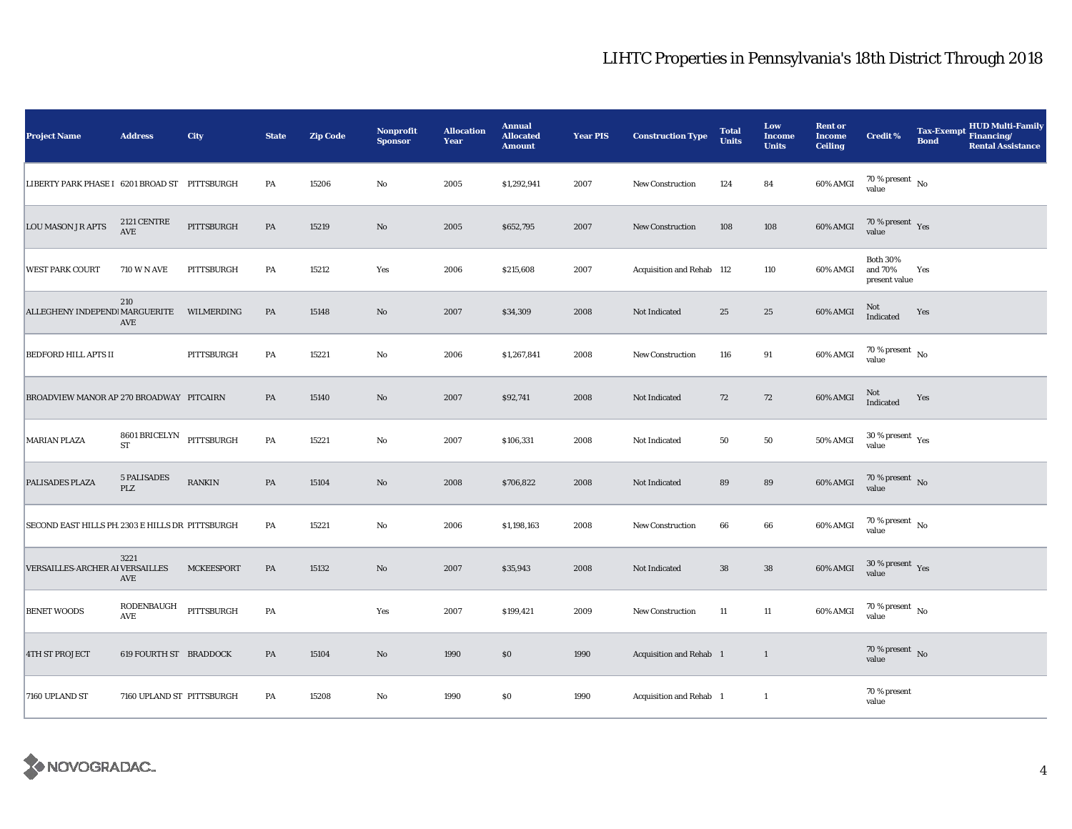| <b>Project Name</b>                             | <b>Address</b>                        | City              | <b>State</b>  | <b>Zip Code</b> | Nonprofit<br><b>Sponsor</b> | <b>Allocation</b><br>Year | <b>Annual</b><br><b>Allocated</b><br><b>Amount</b> | <b>Year PIS</b> | <b>Construction Type</b>  | <b>Total</b><br><b>Units</b> | Low<br><b>Income</b><br><b>Units</b> | <b>Rent or</b><br><b>Income</b><br><b>Ceiling</b> | <b>Credit %</b>                             | <b>HUD Multi-Family</b><br><b>Tax-Exempt</b><br>Financing/<br><b>Bond</b><br><b>Rental Assistance</b> |
|-------------------------------------------------|---------------------------------------|-------------------|---------------|-----------------|-----------------------------|---------------------------|----------------------------------------------------|-----------------|---------------------------|------------------------------|--------------------------------------|---------------------------------------------------|---------------------------------------------|-------------------------------------------------------------------------------------------------------|
| LIBERTY PARK PHASE I 6201 BROAD ST PITTSBURGH   |                                       |                   | PA            | 15206           | $\rm No$                    | 2005                      | \$1,292,941                                        | 2007            | <b>New Construction</b>   | 124                          | 84                                   | 60% AMGI                                          | $70\,\%$ present $\,$ No value              |                                                                                                       |
| <b>LOU MASON JR APTS</b>                        | 2121 CENTRE<br>AVE                    | PITTSBURGH        | PA            | 15219           | $\rm No$                    | 2005                      | \$652,795                                          | 2007            | <b>New Construction</b>   | 108                          | 108                                  | 60% AMGI                                          | $70\,\%$ present $\,$ $\rm Yes$<br>value    |                                                                                                       |
| <b>WEST PARK COURT</b>                          | <b>710 W N AVE</b>                    | PITTSBURGH        | PA            | 15212           | Yes                         | 2006                      | \$215,608                                          | 2007            | Acquisition and Rehab 112 |                              | 110                                  | 60% AMGI                                          | <b>Both 30%</b><br>and 70%<br>present value | Yes                                                                                                   |
| ALLEGHENY INDEPEND! MARGUERITE                  | 210<br>AVE                            | WILMERDING        | PA            | 15148           | No                          | 2007                      | \$34,309                                           | 2008            | Not Indicated             | 25                           | 25                                   | 60% AMGI                                          | Not<br>Indicated                            | Yes                                                                                                   |
| <b>BEDFORD HILL APTS II</b>                     |                                       | PITTSBURGH        | PA            | 15221           | $\mathbf {No}$              | 2006                      | \$1,267,841                                        | 2008            | New Construction          | 116                          | 91                                   | 60% AMGI                                          | 70 % present $\hbox{~No}$<br>value          |                                                                                                       |
| BROADVIEW MANOR AP 270 BROADWAY PITCAIRN        |                                       |                   | PA            | 15140           | No                          | 2007                      | \$92,741                                           | 2008            | Not Indicated             | 72                           | ${\bf 72}$                           | 60% AMGI                                          | $\rm Not$ Indicated                         | Yes                                                                                                   |
| <b>MARIAN PLAZA</b>                             | 8601 BRICELYN PITTSBURGH<br><b>ST</b> |                   | PA            | 15221           | $\rm No$                    | 2007                      | \$106,331                                          | 2008            | Not Indicated             | 50                           | ${\bf 50}$                           | 50% AMGI                                          | $30\,\%$ present $\,$ Yes value             |                                                                                                       |
| PALISADES PLAZA                                 | <b>5 PALISADES</b><br>PLZ             | RANKIN            | $\mathbf{PA}$ | 15104           | $\rm No$                    | 2008                      | \$706,822                                          | 2008            | Not Indicated             | 89                           | 89                                   | 60% AMGI                                          | $70\,\%$ present $\,$ No value              |                                                                                                       |
| SECOND EAST HILLS PH 2303 E HILLS DR PITTSBURGH |                                       |                   | PA            | 15221           | $\rm No$                    | 2006                      | \$1,198,163                                        | 2008            | <b>New Construction</b>   | 66                           | $\bf 66$                             | 60% AMGI                                          | $70$ % present $\,$ No $\,$<br>value        |                                                                                                       |
| VERSAILLES-ARCHER AI VERSAILLES                 | 3221<br>AVE                           | <b>MCKEESPORT</b> | PA            | 15132           | $\rm No$                    | 2007                      | \$35,943                                           | 2008            | Not Indicated             | ${\bf 38}$                   | ${\bf 38}$                           | 60% AMGI                                          | $30$ % present $\,$ $\rm Yes$<br>value      |                                                                                                       |
| <b>BENET WOODS</b>                              | RODENBAUGH<br><b>AVE</b>              | PITTSBURGH        | PA            |                 | Yes                         | 2007                      | \$199,421                                          | 2009            | <b>New Construction</b>   | 11                           | 11                                   | 60% AMGI                                          | 70 % present $\hbox{~No}$<br>value          |                                                                                                       |
| <b>4TH ST PROJECT</b>                           | <b>619 FOURTH ST BRADDOCK</b>         |                   | PA            | 15104           | $\rm\thinspace No$          | 1990                      | \$0\$                                              | 1990            | Acquisition and Rehab 1   |                              | $\mathbf{1}$                         |                                                   | 70 % present $\hbox{~No}$<br>value          |                                                                                                       |
| 7160 UPLAND ST                                  | 7160 UPLAND ST PITTSBURGH             |                   | PA            | 15208           | $\rm No$                    | 1990                      | $\$0$                                              | 1990            | Acquisition and Rehab 1   |                              | $\mathbf{1}$                         |                                                   | 70 % present<br>value                       |                                                                                                       |

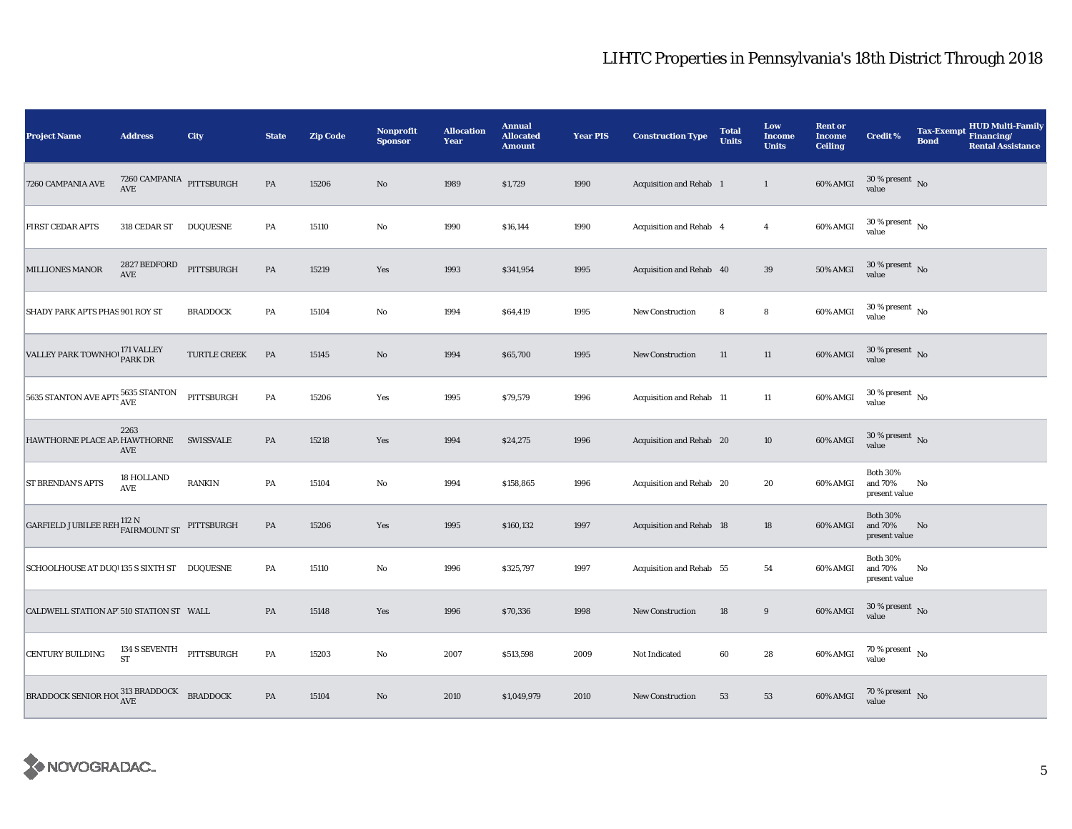| <b>Project Name</b>                                                                                                                                        | <b>Address</b>                                | City                | <b>State</b>  | <b>Zip Code</b> | Nonprofit<br><b>Sponsor</b> | <b>Allocation</b><br>Year | <b>Annual</b><br><b>Allocated</b><br><b>Amount</b> | <b>Year PIS</b> | <b>Construction Type</b> | <b>Total</b><br><b>Units</b> | Low<br><b>Income</b><br><b>Units</b> | <b>Rent or</b><br><b>Income</b><br><b>Ceiling</b> | <b>Credit %</b>                             | <b>HUD Multi-Family</b><br><b>Tax-Exempt</b><br>Financing/<br><b>Bond</b><br><b>Rental Assistance</b> |
|------------------------------------------------------------------------------------------------------------------------------------------------------------|-----------------------------------------------|---------------------|---------------|-----------------|-----------------------------|---------------------------|----------------------------------------------------|-----------------|--------------------------|------------------------------|--------------------------------------|---------------------------------------------------|---------------------------------------------|-------------------------------------------------------------------------------------------------------|
| 7260 CAMPANIA AVE                                                                                                                                          |                                               |                     | $\mathbf{PA}$ | 15206           | No                          | 1989                      | \$1,729                                            | 1990            | Acquisition and Rehab 1  |                              | $\mathbf{1}$                         | 60% AMGI                                          | $30\,\%$ present $\,$ No value              |                                                                                                       |
| <b>FIRST CEDAR APTS</b>                                                                                                                                    | 318 CEDAR ST                                  | <b>DUQUESNE</b>     | PA            | 15110           | $\rm No$                    | 1990                      | \$16,144                                           | 1990            | Acquisition and Rehab 4  |                              | $\overline{4}$                       | 60% AMGI                                          | $30$ % present $\,$ No $\,$<br>value        |                                                                                                       |
| <b>MILLIONES MANOR</b>                                                                                                                                     | 2827 BEDFORD<br>$\operatorname{\mathbf{AVE}}$ | PITTSBURGH          | PA            | 15219           | Yes                         | 1993                      | \$341,954                                          | 1995            | Acquisition and Rehab 40 |                              | $39\,$                               | 50% AMGI                                          | $30\,\%$ present $\,$ No $\,$<br>value      |                                                                                                       |
| SHADY PARK APTS PHAS 901 ROY ST                                                                                                                            |                                               | <b>BRADDOCK</b>     | PA            | 15104           | $\mathbf{No}$               | 1994                      | \$64,419                                           | 1995            | <b>New Construction</b>  | 8                            | 8                                    | 60% AMGI                                          | $30$ % present $\,$ No $\,$<br>value        |                                                                                                       |
| VALLEY PARK TOWNHO PARK DR                                                                                                                                 |                                               | <b>TURTLE CREEK</b> | $\mathbf{PA}$ | 15145           | $\rm No$                    | 1994                      | \$65,700                                           | 1995            | New Construction         | 11                           | $11\,$                               | 60% AMGI                                          | $30$ % present $\,$ No $\,$<br>value        |                                                                                                       |
| 5635 STANTON AVE APTS 5635 STANTON                                                                                                                         |                                               | PITTSBURGH          | PA            | 15206           | Yes                         | 1995                      | \$79,579                                           | 1996            | Acquisition and Rehab 11 |                              | $11\,$                               | 60% AMGI                                          | $30\,\%$ present $\,$ No value              |                                                                                                       |
| HAWTHORNE PLACE AP. HAWTHORNE                                                                                                                              | 2263<br>AVE                                   | <b>SWISSVALE</b>    | PA            | 15218           | Yes                         | 1994                      | \$24,275                                           | 1996            | Acquisition and Rehab 20 |                              | $10\,$                               | 60% AMGI                                          | $30\,\%$ present $\,$ No value              |                                                                                                       |
| <b>ST BRENDAN'S APTS</b>                                                                                                                                   | 18 HOLLAND<br>AVE                             | RANKIN              | PA            | 15104           | $\rm No$                    | 1994                      | \$158,865                                          | 1996            | Acquisition and Rehab 20 |                              | 20                                   | 60% AMGI                                          | <b>Both 30%</b><br>and 70%<br>present value | No                                                                                                    |
| $\begin{tabular}{ll} \bf{GARFIED JUBILEE REH} \begin{tabular}{ll} \bf{112} N \\ \bf{FAIRMOUNT ST} \end{tabular} \end{tabular} \end{tabular} \end{tabular}$ |                                               |                     | PA            | 15206           | Yes                         | 1995                      | \$160,132                                          | 1997            | Acquisition and Rehab 18 |                              | 18                                   | 60% AMGI                                          | <b>Both 30%</b><br>and 70%<br>present value | No                                                                                                    |
| SCHOOLHOUSE AT DUQ 135 S SIXTH ST DUQUESNE                                                                                                                 |                                               |                     | PA            | 15110           | $\rm No$                    | 1996                      | \$325,797                                          | 1997            | Acquisition and Rehab 55 |                              | 54                                   | 60% AMGI                                          | <b>Both 30%</b><br>and 70%<br>present value | No                                                                                                    |
| CALDWELL STATION AP 510 STATION ST WALL                                                                                                                    |                                               |                     | PA            | 15148           | Yes                         | 1996                      | \$70,336                                           | 1998            | <b>New Construction</b>  | 18                           | $\boldsymbol{9}$                     | 60% AMGI                                          | $30$ % present $\,$ No $\,$<br>value        |                                                                                                       |
| <b>CENTURY BUILDING</b>                                                                                                                                    | 134 S SEVENTH<br><b>ST</b>                    | PITTSBURGH          | PA            | 15203           | $\rm No$                    | 2007                      | \$513,598                                          | 2009            | Not Indicated            | 60                           | $\bf 28$                             | 60% AMGI                                          | $70\,\%$ present $\,$ No value              |                                                                                                       |
| BRADDOCK SENIOR HOU $\frac{\text{313} \text{ BRADDOCK}}{\text{AVE}}$ BRADDOCK                                                                              |                                               |                     | PA            | 15104           | No                          | 2010                      | \$1,049,979                                        | 2010            | <b>New Construction</b>  | 53                           | 53                                   | 60% AMGI                                          | $70\,\%$ present $\,$ No value              |                                                                                                       |

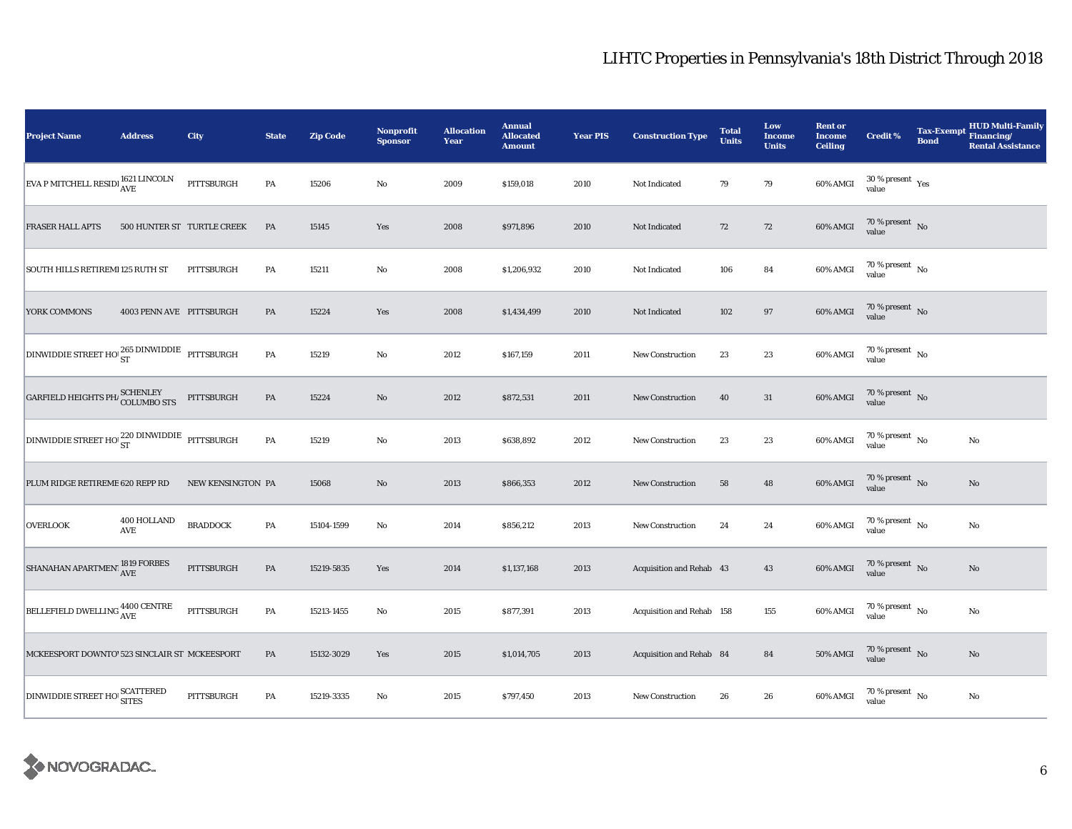| <b>Project Name</b>                               | <b>Address</b>           | City                       | <b>State</b>  | <b>Zip Code</b> | <b>Nonprofit</b><br><b>Sponsor</b> | <b>Allocation</b><br>Year | <b>Annual</b><br><b>Allocated</b><br><b>Amount</b> | <b>Year PIS</b> | <b>Construction Type</b>  | <b>Total</b><br><b>Units</b> | Low<br>Income<br><b>Units</b> | <b>Rent or</b><br><b>Income</b><br><b>Ceiling</b> | Credit %                                     | <b>Tax-Exempt</b><br><b>Bond</b> | <b>HUD Multi-Family</b><br>Financing/<br><b>Rental Assistance</b> |
|---------------------------------------------------|--------------------------|----------------------------|---------------|-----------------|------------------------------------|---------------------------|----------------------------------------------------|-----------------|---------------------------|------------------------------|-------------------------------|---------------------------------------------------|----------------------------------------------|----------------------------------|-------------------------------------------------------------------|
| EVA P MITCHELL RESIDI 1621 LINCOLN                |                          | PITTSBURGH                 | PA            | 15206           | $\rm No$                           | 2009                      | \$159,018                                          | 2010            | Not Indicated             | 79                           | 79                            | 60% AMGI                                          | $30$ % present $\rm\thinspace\,Yes$<br>value |                                  |                                                                   |
| <b>FRASER HALL APTS</b>                           |                          | 500 HUNTER ST TURTLE CREEK | PA            | 15145           | Yes                                | 2008                      | \$971,896                                          | 2010            | Not Indicated             | 72                           | $72\,$                        | 60% AMGI                                          | $70\%$ present No<br>value                   |                                  |                                                                   |
| SOUTH HILLS RETIREMI 125 RUTH ST                  |                          | PITTSBURGH                 | PA            | 15211           | $\rm No$                           | 2008                      | \$1,206,932                                        | 2010            | Not Indicated             | 106                          | 84                            | 60% AMGI                                          | $70\,\%$ present $\,$ No value               |                                  |                                                                   |
| YORK COMMONS                                      | 4003 PENN AVE PITTSBURGH |                            | PA            | 15224           | Yes                                | 2008                      | \$1,434,499                                        | 2010            | Not Indicated             | 102                          | 97                            | 60% AMGI                                          | $70\,\%$ present $\,$ No value               |                                  |                                                                   |
| DINWIDDIE STREET HO 265 DINWIDDIE PITTSBURGH      |                          |                            | PA            | 15219           | No                                 | 2012                      | \$167,159                                          | 2011            | New Construction          | 23                           | 23                            | 60% AMGI                                          | 70 % present $\hbox{~No}$<br>value           |                                  |                                                                   |
| GARFIELD HEIGHTS PH $\mu$ SCHENLEY<br>COLUMBO STS |                          | PITTSBURGH                 | PA            | 15224           | No                                 | 2012                      | \$872,531                                          | 2011            | New Construction          | 40                           | 31                            | 60% AMGI                                          | $70\,\%$ present $\,$ No value               |                                  |                                                                   |
| DINWIDDIE STREET HO 220 DINWIDDIE PITTSBURGH      |                          |                            | $\mathbf{PA}$ | 15219           | $\mathbf{No}$                      | 2013                      | \$638,892                                          | 2012            | New Construction          | 23                           | 23                            | 60% AMGI                                          | $70\,\%$ present $\,$ No value               |                                  | $\rm No$                                                          |
| PLUM RIDGE RETIREME 620 REPP RD                   |                          | NEW KENSINGTON PA          |               | 15068           | $\rm No$                           | 2013                      | \$866,353                                          | 2012            | New Construction          | 58                           | 48                            | 60% AMGI                                          | $70\,\%$ present $\,$ No value               |                                  | $\mathbf{No}$                                                     |
| <b>OVERLOOK</b>                                   | 400 HOLLAND<br>AVE       | <b>BRADDOCK</b>            | PA            | 15104-1599      | No                                 | 2014                      | \$856,212                                          | 2013            | <b>New Construction</b>   | 24                           | 24                            | 60% AMGI                                          | $70$ % present $\,$ No $\,$<br>value         |                                  | No                                                                |
| SHANAHAN APARTMENT $^{1819}_{\rm AVE}$ FORBES     |                          | PITTSBURGH                 | PA            | 15219-5835      | Yes                                | 2014                      | \$1,137,168                                        | 2013            | Acquisition and Rehab 43  |                              | 43                            | $60\%$ AMGI                                       | $70\,\%$ present $\,$ No value               |                                  | $\mathbf{No}$                                                     |
| BELLEFIELD DWELLING 4400 CENTRE                   |                          | PITTSBURGH                 | PA            | 15213-1455      | No                                 | 2015                      | \$877,391                                          | 2013            | Acquisition and Rehab 158 |                              | 155                           | 60% AMGI                                          | 70 % present $\hbox{~No}$<br>value           |                                  | No                                                                |
| MCKEESPORT DOWNTO' 523 SINCLAIR ST MCKEESPORT     |                          |                            | PA            | 15132-3029      | Yes                                | 2015                      | \$1,014,705                                        | 2013            | Acquisition and Rehab 84  |                              | 84                            | 50% AMGI                                          | $70\,\%$ present $\,$ No value               |                                  | $\rm No$                                                          |
| DINWIDDIE STREET HO SCATTERED                     |                          | PITTSBURGH                 | PA            | 15219-3335      | No                                 | 2015                      | \$797,450                                          | 2013            | New Construction          | 26                           | 26                            | 60% AMGI                                          | $70$ % present $\,$ No $\,$<br>value         |                                  | No                                                                |

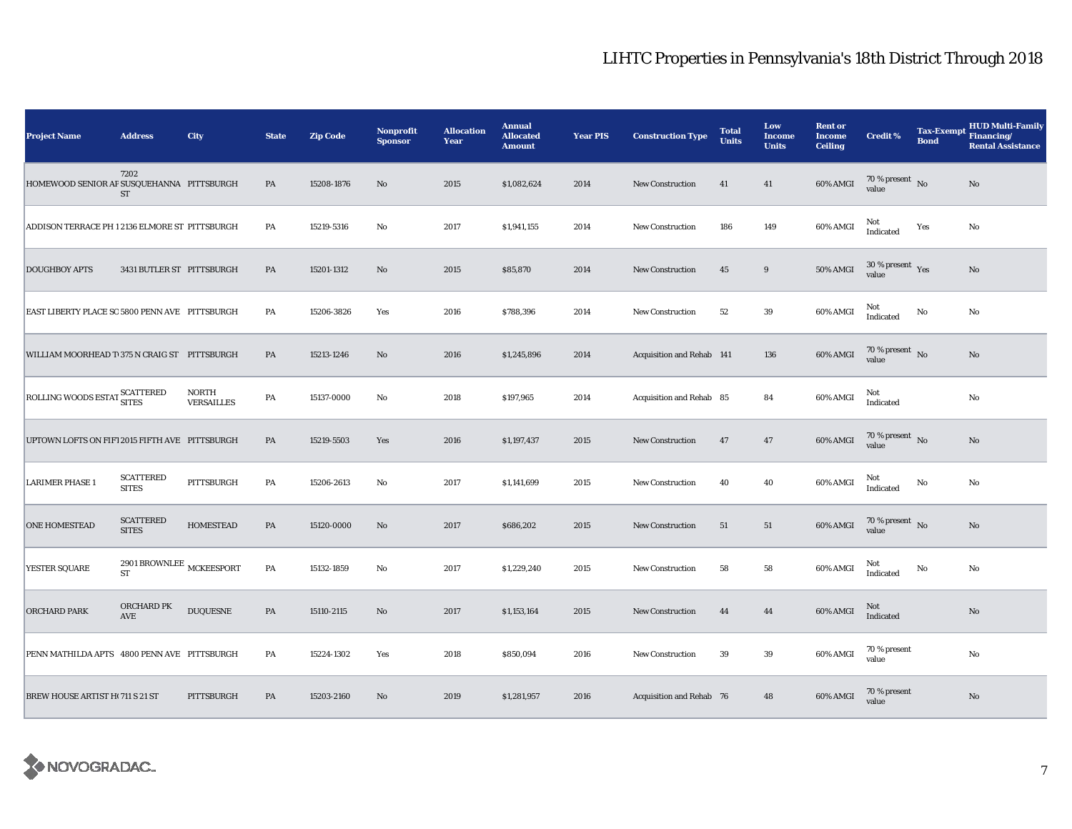| <b>Project Name</b>                            | <b>Address</b>                          | <b>City</b>                | <b>State</b>  | <b>Zip Code</b> | <b>Nonprofit</b><br><b>Sponsor</b> | <b>Allocation</b><br>Year | <b>Annual</b><br><b>Allocated</b><br><b>Amount</b> | <b>Year PIS</b> | <b>Construction Type</b>  | <b>Total</b><br><b>Units</b> | Low<br><b>Income</b><br><b>Units</b> | <b>Rent or</b><br><b>Income</b><br><b>Ceiling</b> | <b>Credit %</b>                        | Tax-Exempt Financing/<br><b>Bond</b> | <b>HUD Multi-Family</b><br><b>Rental Assistance</b> |
|------------------------------------------------|-----------------------------------------|----------------------------|---------------|-----------------|------------------------------------|---------------------------|----------------------------------------------------|-----------------|---------------------------|------------------------------|--------------------------------------|---------------------------------------------------|----------------------------------------|--------------------------------------|-----------------------------------------------------|
| HOMEWOOD SENIOR AP SUSQUEHANNA PITTSBURGH      | 7202<br>ST                              |                            | PA            | 15208-1876      | $\mathbf{No}$                      | 2015                      | \$1,082,624                                        | 2014            | <b>New Construction</b>   | 41                           | 41                                   | 60% AMGI                                          | $70\,\%$ present $${\rm No}$$ value    |                                      | No                                                  |
| ADDISON TERRACE PH 1 2136 ELMORE ST PITTSBURGH |                                         |                            | PA            | 15219-5316      | No                                 | 2017                      | \$1,941,155                                        | 2014            | New Construction          | 186                          | 149                                  | 60% AMGI                                          | Not<br>Indicated                       | Yes                                  | No                                                  |
| <b>DOUGHBOY APTS</b>                           | 3431 BUTLER ST PITTSBURGH               |                            | PA            | 15201-1312      | $\mathbf{N}\mathbf{o}$             | 2015                      | \$85,870                                           | 2014            | New Construction          | 45                           | $\boldsymbol{9}$                     | 50% AMGI                                          | $30$ % present $\,$ $\rm Yes$<br>value |                                      | No                                                  |
| EAST LIBERTY PLACE SO 5800 PENN AVE PITTSBURGH |                                         |                            | PA            | 15206-3826      | Yes                                | 2016                      | \$788,396                                          | 2014            | <b>New Construction</b>   | 52                           | 39                                   | 60% AMGI                                          | Not<br>Indicated                       | No                                   | No                                                  |
| WILLIAM MOORHEAD T 375 N CRAIG ST PITTSBURGH   |                                         |                            | PA            | 15213-1246      | No                                 | 2016                      | \$1,245,896                                        | 2014            | Acquisition and Rehab 141 |                              | 136                                  | 60% AMGI                                          | 70 % present $\,$ No $\,$<br>value     |                                      | No                                                  |
| ROLLING WOODS ESTAT SCATTERED                  |                                         | NORTH<br><b>VERSAILLES</b> | PA            | 15137-0000      | $\mathbf{No}$                      | 2018                      | \$197,965                                          | 2014            | Acquisition and Rehab 85  |                              | 84                                   | 60% AMGI                                          | Not<br>Indicated                       |                                      | No                                                  |
| UPTOWN LOFTS ON FIF1 2015 FIFTH AVE PITTSBURGH |                                         |                            | PA            | 15219-5503      | Yes                                | 2016                      | \$1,197,437                                        | 2015            | <b>New Construction</b>   | 47                           | 47                                   | 60% AMGI                                          | 70 % present $\hbox{~No}$<br>value     |                                      | No                                                  |
| <b>LARIMER PHASE 1</b>                         | <b>SCATTERED</b><br><b>SITES</b>        | PITTSBURGH                 | PA            | 15206-2613      | No                                 | 2017                      | \$1,141,699                                        | 2015            | <b>New Construction</b>   | 40                           | 40                                   | 60% AMGI                                          | Not<br>Indicated                       | No                                   | No                                                  |
| <b>ONE HOMESTEAD</b>                           | <b>SCATTERED</b><br><b>SITES</b>        | <b>HOMESTEAD</b>           | PA            | 15120-0000      | $\mathbf{N}\mathbf{o}$             | 2017                      | \$686,202                                          | 2015            | New Construction          | 51                           | 51                                   | 60% AMGI                                          | 70 % present $\hbox{~No}$<br>value     |                                      | No                                                  |
| YESTER SQUARE                                  | 2901 BROWNLEE $_{\rm MCKEESPORT}$<br>ST |                            | PA            | 15132-1859      | No                                 | 2017                      | \$1,229,240                                        | 2015            | <b>New Construction</b>   | 58                           | 58                                   | 60% AMGI                                          | Not<br>Indicated                       | No                                   | No                                                  |
| <b>ORCHARD PARK</b>                            | ORCHARD PK<br>AVE                       | <b>DUQUESNE</b>            | $\mathbf{PA}$ | 15110-2115      | $\mathbf{N}\mathbf{o}$             | 2017                      | \$1,153,164                                        | 2015            | <b>New Construction</b>   | 44                           | 44                                   | 60% AMGI                                          | Not<br><b>Indicated</b>                |                                      | No                                                  |
| PENN MATHILDA APTS 4800 PENN AVE PITTSBURGH    |                                         |                            | PA            | 15224-1302      | Yes                                | 2018                      | \$850,094                                          | 2016            | New Construction          | 39                           | 39                                   | 60% AMGI                                          | 70 % present<br>value                  |                                      | No                                                  |
| <b>BREW HOUSE ARTIST HI 711 S 21 ST</b>        |                                         | PITTSBURGH                 | PA            | 15203-2160      | No                                 | 2019                      | \$1,281,957                                        | 2016            | Acquisition and Rehab 76  |                              | 48                                   | 60% AMGI                                          | 70 % present<br>value                  |                                      | No                                                  |

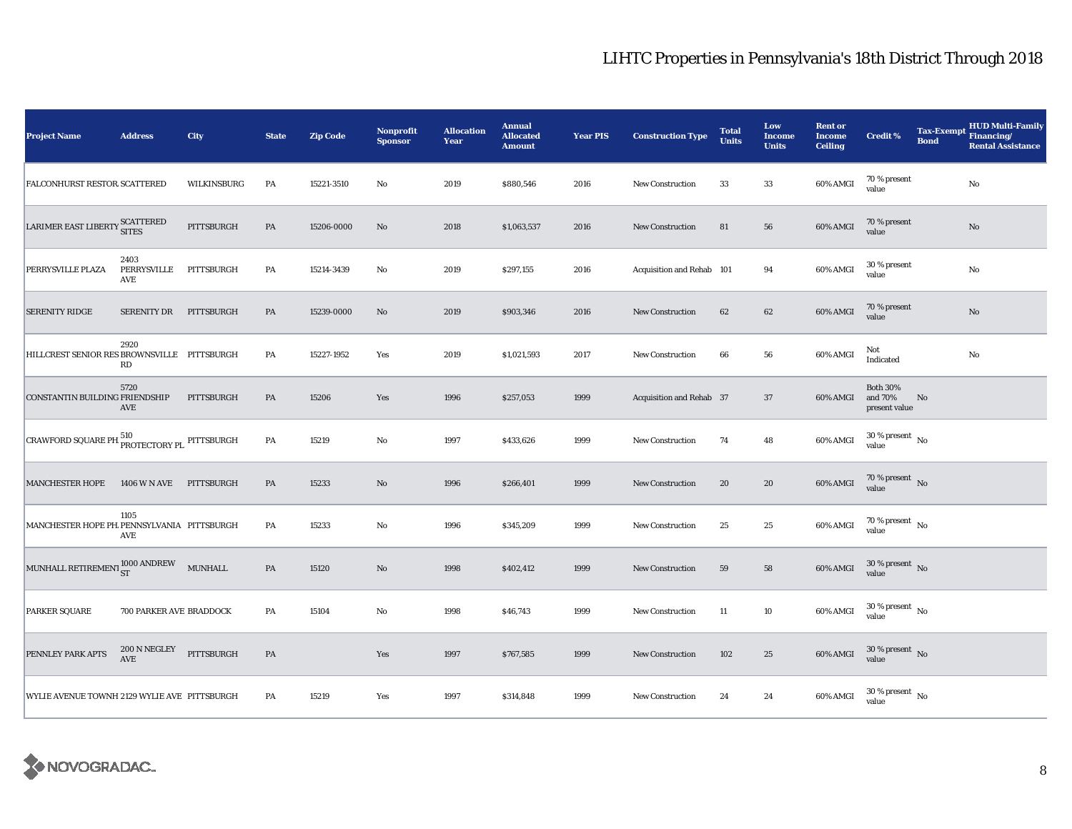| <b>Project Name</b>                               | <b>Address</b>             | <b>City</b> | <b>State</b>  | <b>Zip Code</b> | <b>Nonprofit</b><br><b>Sponsor</b> | <b>Allocation</b><br>Year | <b>Annual</b><br><b>Allocated</b><br><b>Amount</b> | <b>Year PIS</b> | <b>Construction Type</b>  | <b>Total</b><br><b>Units</b> | Low<br><b>Income</b><br><b>Units</b> | <b>Rent or</b><br><b>Income</b><br><b>Ceiling</b> | <b>Credit %</b>                             | <b>Bond</b> | <b>HUD Multi-Family</b><br>Tax-Exempt Financing/<br><b>Rental Assistance</b> |
|---------------------------------------------------|----------------------------|-------------|---------------|-----------------|------------------------------------|---------------------------|----------------------------------------------------|-----------------|---------------------------|------------------------------|--------------------------------------|---------------------------------------------------|---------------------------------------------|-------------|------------------------------------------------------------------------------|
| <b>FALCONHURST RESTOR SCATTERED</b>               |                            | WILKINSBURG | PA            | 15221-3510      | No                                 | 2019                      | \$880,546                                          | 2016            | <b>New Construction</b>   | 33                           | 33                                   | 60% AMGI                                          | 70 % present<br>value                       |             | No                                                                           |
| LARIMER EAST LIBERTY SCATTERED                    |                            | PITTSBURGH  | PA            | 15206-0000      | No                                 | 2018                      | \$1,063,537                                        | 2016            | New Construction          | 81                           | 56                                   | 60% AMGI                                          | 70 % present<br>value                       |             | $\mathbf{No}$                                                                |
| PERRYSVILLE PLAZA                                 | 2403<br>PERRYSVILLE<br>AVE | PITTSBURGH  | PA            | 15214-3439      | No                                 | 2019                      | \$297,155                                          | 2016            | Acquisition and Rehab 101 |                              | 94                                   | 60% AMGI                                          | 30 % present<br>value                       |             | $\rm No$                                                                     |
| <b>SERENITY RIDGE</b>                             | <b>SERENITY DR</b>         | PITTSBURGH  | PA            | 15239-0000      | $\mathbf{N}\mathbf{o}$             | 2019                      | \$903,346                                          | 2016            | <b>New Construction</b>   | 62                           | 62                                   | 60% AMGI                                          | 70 % present<br>value                       |             | No                                                                           |
| HILLCREST SENIOR RES BROWNSVILLE PITTSBURGH       | 2920<br>RD                 |             | PA            | 15227-1952      | Yes                                | 2019                      | \$1,021,593                                        | 2017            | <b>New Construction</b>   | 66                           | 56                                   | 60% AMGI                                          | Not<br>Indicated                            |             | No                                                                           |
| CONSTANTIN BUILDING FRIENDSHIP                    | 5720<br>AVE                | PITTSBURGH  | PA            | 15206           | Yes                                | 1996                      | \$257,053                                          | 1999            | Acquisition and Rehab 37  |                              | 37                                   | 60% AMGI                                          | <b>Both 30%</b><br>and 70%<br>present value | No          |                                                                              |
| CRAWFORD SQUARE PH PROTECTORY PL PITTSBURGH       |                            |             | PA            | 15219           | $\rm No$                           | 1997                      | \$433,626                                          | 1999            | <b>New Construction</b>   | 74                           | 48                                   | $60\%$ AMGI                                       | $30$ % present $\,$ No $\,$<br>value        |             |                                                                              |
| <b>MANCHESTER HOPE</b>                            | 1406 W N AVE               | PITTSBURGH  | $\mathbf{PA}$ | 15233           | $\rm No$                           | 1996                      | \$266,401                                          | 1999            | <b>New Construction</b>   | 20                           | ${\bf 20}$                           | 60% AMGI                                          | $70\,\%$ present $\,$ No value              |             |                                                                              |
| MANCHESTER HOPE PH PENNSYLVANIA PITTSBURGH        | 1105<br>AVE                |             | PA            | 15233           | $\mathbf{No}$                      | 1996                      | \$345,209                                          | 1999            | New Construction          | 25                           | 25                                   | 60% AMGI                                          | $70\,\%$ present $\,$ No value              |             |                                                                              |
| MUNHALL RETIREMENT $_{\rm ST}^{1000\,\rm ANDREW}$ |                            | MUNHALL     | PA            | 15120           | No                                 | 1998                      | \$402,412                                          | 1999            | <b>New Construction</b>   | 59                           | 58                                   | 60% AMGI                                          | $30\,\%$ present $\,$ No value              |             |                                                                              |
| PARKER SQUARE                                     | 700 PARKER AVE BRADDOCK    |             | PA            | 15104           | No                                 | 1998                      | \$46,743                                           | 1999            | <b>New Construction</b>   | 11                           | 10                                   | 60% AMGI                                          | $30$ % present $\,$ No $\,$<br>value        |             |                                                                              |
| PENNLEY PARK APTS                                 | 200 N NEGLEY<br>AVE        | PITTSBURGH  | $\mathbf{PA}$ |                 | Yes                                | 1997                      | \$767,585                                          | 1999            | <b>New Construction</b>   | 102                          | 25                                   | 60% AMGI                                          | $30\,\%$ present $\,$ No value              |             |                                                                              |
| WYLIE AVENUE TOWNH 2129 WYLIE AVE PITTSBURGH      |                            |             | PA            | 15219           | Yes                                | 1997                      | \$314,848                                          | 1999            | <b>New Construction</b>   | 24                           | 24                                   | 60% AMGI                                          | $30$ % present $\,$ No $\,$<br>value        |             |                                                                              |

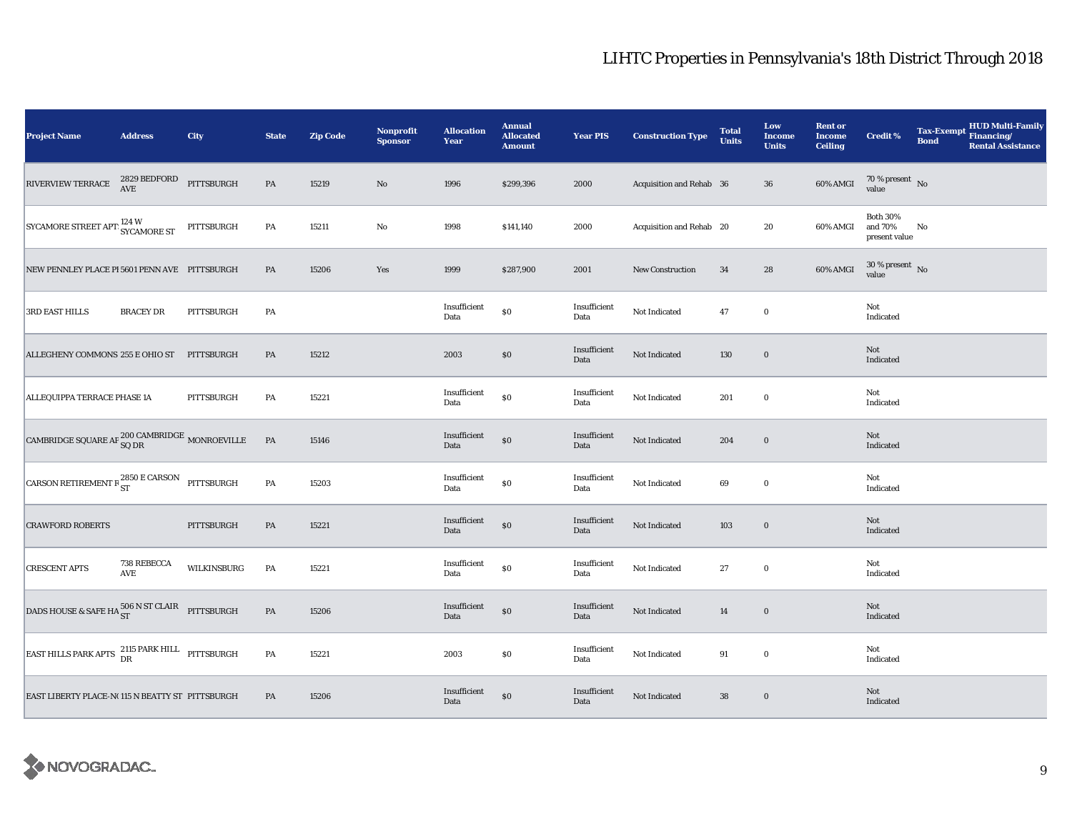| <b>Project Name</b>                                                       | <b>Address</b>                | City        | <b>State</b>  | <b>Zip Code</b> | <b>Nonprofit</b><br><b>Sponsor</b> | <b>Allocation</b><br>Year | <b>Annual</b><br><b>Allocated</b><br><b>Amount</b> | <b>Year PIS</b>      | <b>Construction Type</b> | <b>Total</b><br><b>Units</b> | Low<br><b>Income</b><br><b>Units</b> | <b>Rent or</b><br><b>Income</b><br><b>Ceiling</b> | <b>Credit %</b>                             | <b>Tax-Exempt</b><br><b>Bond</b> | <b>HUD Multi-Family</b><br>Financing/<br><b>Rental Assistance</b> |
|---------------------------------------------------------------------------|-------------------------------|-------------|---------------|-----------------|------------------------------------|---------------------------|----------------------------------------------------|----------------------|--------------------------|------------------------------|--------------------------------------|---------------------------------------------------|---------------------------------------------|----------------------------------|-------------------------------------------------------------------|
| RIVERVIEW TERRACE                                                         | $2829$ BEDFORD PITTSBURGH AVE |             | $\mathbf{PA}$ | 15219           | $\rm\thinspace No$                 | 1996                      | \$299,396                                          | 2000                 | Acquisition and Rehab 36 |                              | ${\bf 36}$                           | 60% AMGI                                          | $70\,\%$ present $\,$ No value              |                                  |                                                                   |
| SYCAMORE STREET APT <sup>124</sup> W<br>SYCAMORE ST                       |                               | PITTSBURGH  | PA            | 15211           | No                                 | 1998                      | \$141,140                                          | 2000                 | Acquisition and Rehab 20 |                              | 20                                   | 60% AMGI                                          | <b>Both 30%</b><br>and 70%<br>present value | No                               |                                                                   |
| NEW PENNLEY PLACE PI 5601 PENN AVE PITTSBURGH                             |                               |             | PA            | 15206           | Yes                                | 1999                      | \$287,900                                          | 2001                 | New Construction         | 34                           | 28                                   | 60% AMGI                                          | $30\,\%$ present $\,$ No value              |                                  |                                                                   |
| 3RD EAST HILLS                                                            | <b>BRACEY DR</b>              | PITTSBURGH  | PA            |                 |                                    | Insufficient<br>Data      | $\$0$                                              | Insufficient<br>Data | Not Indicated            | 47                           | $\bf{0}$                             |                                                   | Not<br>Indicated                            |                                  |                                                                   |
| ALLEGHENY COMMONS 255 E OHIO ST                                           |                               | PITTSBURGH  | PA            | 15212           |                                    | 2003                      | $\$0$                                              | Insufficient<br>Data | Not Indicated            | 130                          | $\bf{0}$                             |                                                   | Not<br>Indicated                            |                                  |                                                                   |
| ALLEQUIPPA TERRACE PHASE 1A                                               |                               | PITTSBURGH  | PA            | 15221           |                                    | Insufficient<br>Data      | $\$0$                                              | Insufficient<br>Data | Not Indicated            | 201                          | $\bf{0}$                             |                                                   | Not<br>Indicated                            |                                  |                                                                   |
| CAMBRIDGE SQUARE AP $_{\text{SQ DR}}^{200 \text{ CAMBRIDGE}}$ MONROEVILLE |                               |             | $\mathbf{PA}$ | 15146           |                                    | Insufficient<br>Data      | $\$0$                                              | Insufficient<br>Data | Not Indicated            | 204                          | $\bf{0}$                             |                                                   | Not<br>Indicated                            |                                  |                                                                   |
| CARSON RETIREMENT R ${}^{2850}_{ST}$ E CARSON PITTSBURGH                  |                               |             | PA            | 15203           |                                    | Insufficient<br>Data      | $\$0$                                              | Insufficient<br>Data | Not Indicated            | 69                           | $\bf{0}$                             |                                                   | Not<br>Indicated                            |                                  |                                                                   |
| <b>CRAWFORD ROBERTS</b>                                                   |                               | PITTSBURGH  | PA            | 15221           |                                    | Insufficient<br>Data      | $\$0$                                              | Insufficient<br>Data | Not Indicated            | 103                          | $\bf{0}$                             |                                                   | Not<br>Indicated                            |                                  |                                                                   |
| <b>CRESCENT APTS</b>                                                      | 738 REBECCA<br>AVE            | WILKINSBURG | PA            | 15221           |                                    | Insufficient<br>Data      | $\$0$                                              | Insufficient<br>Data | Not Indicated            | 27                           | $\bf{0}$                             |                                                   | Not<br>Indicated                            |                                  |                                                                   |
| DADS HOUSE & SAFE HA $_{\rm ST}^{506\ {\rm N\,ST\,CLAIR}}$ PITTSBURGH     |                               |             | PA            | 15206           |                                    | Insufficient<br>Data      | $\$0$                                              | Insufficient<br>Data | Not Indicated            | 14                           | $\bf{0}$                             |                                                   | Not<br>Indicated                            |                                  |                                                                   |
| EAST HILLS PARK APTS $^{2115}_{DR}$ PARK HILL PITTSBURGH                  |                               |             | $\mathbf{PA}$ | 15221           |                                    | 2003                      | \$0                                                | Insufficient<br>Data | Not Indicated            | 91                           | $\bf{0}$                             |                                                   | Not<br>Indicated                            |                                  |                                                                   |
| EAST LIBERTY PLACE-N(115 N BEATTY ST PITTSBURGH                           |                               |             | PA            | 15206           |                                    | Insufficient<br>Data      | $\$0$                                              | Insufficient<br>Data | Not Indicated            | 38                           | $\mathbf 0$                          |                                                   | Not<br>Indicated                            |                                  |                                                                   |

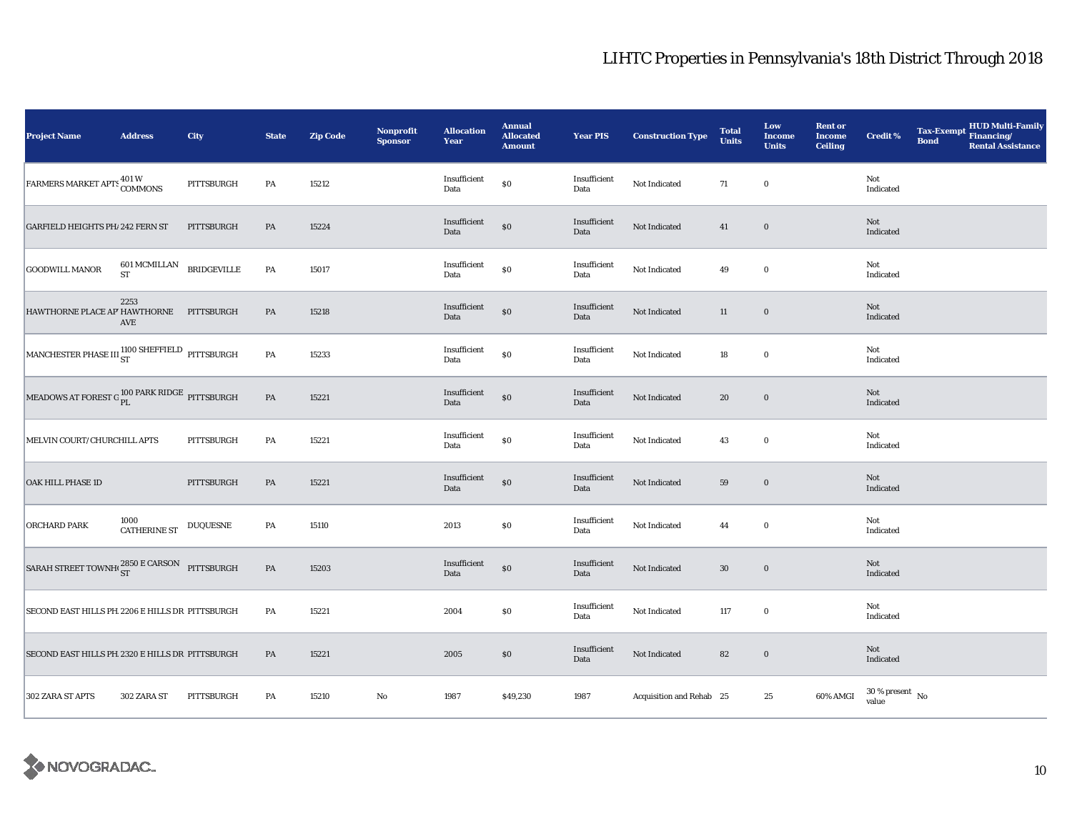| <b>Project Name</b>                                      | <b>Address</b>                                         | City       | <b>State</b>  | <b>Zip Code</b> | <b>Nonprofit</b><br><b>Sponsor</b> | <b>Allocation</b><br>Year | <b>Annual</b><br><b>Allocated</b><br><b>Amount</b> | <b>Year PIS</b>      | <b>Construction Type</b> | <b>Total</b><br><b>Units</b> | Low<br><b>Income</b><br><b>Units</b> | <b>Rent or</b><br><b>Income</b><br><b>Ceiling</b> | <b>Credit %</b>                | <b>Bond</b> | Tax-Exempt HUD Multi-Family<br><b>Rental Assistance</b> |
|----------------------------------------------------------|--------------------------------------------------------|------------|---------------|-----------------|------------------------------------|---------------------------|----------------------------------------------------|----------------------|--------------------------|------------------------------|--------------------------------------|---------------------------------------------------|--------------------------------|-------------|---------------------------------------------------------|
| FARMERS MARKET APTS 401 W<br>COMMONS                     |                                                        | PITTSBURGH | PA            | 15212           |                                    | Insufficient<br>Data      | $\$0$                                              | Insufficient<br>Data | Not Indicated            | 71                           | $\bf{0}$                             |                                                   | Not<br>Indicated               |             |                                                         |
| <b>GARFIELD HEIGHTS PH/ 242 FERN ST</b>                  |                                                        | PITTSBURGH | PA            | 15224           |                                    | Insufficient<br>Data      | $\$0$                                              | Insufficient<br>Data | Not Indicated            | 41                           | $\boldsymbol{0}$                     |                                                   | Not<br>Indicated               |             |                                                         |
| <b>GOODWILL MANOR</b>                                    | $601\,\mathrm{MCMILLAN}$ BRIDGEVILLE ST                |            | $\mathbf{PA}$ | 15017           |                                    | Insufficient<br>Data      | $\$0$                                              | Insufficient<br>Data | Not Indicated            | 49                           | $\mathbf 0$                          |                                                   | Not<br>Indicated               |             |                                                         |
| HAWTHORNE PLACE AP' HAWTHORNE PITTSBURGH                 | 2253<br>AVE                                            |            | PA            | 15218           |                                    | Insufficient<br>Data      | $\$0$                                              | Insufficient<br>Data | Not Indicated            | 11                           | $\mathbf 0$                          |                                                   | Not<br>Indicated               |             |                                                         |
| MANCHESTER PHASE III $_{ST}^{1100}$ SHEFFIELD pittsburgh |                                                        |            | $\mathbf{PA}$ | 15233           |                                    | Insufficient<br>Data      | $\$0$                                              | Insufficient<br>Data | Not Indicated            | 18                           | $\bf{0}$                             |                                                   | Not<br>Indicated               |             |                                                         |
| MEADOWS AT FOREST G <sup>100 PARK RIDGE</sup> PITTSBURGH |                                                        |            | $\mathbf{PA}$ | 15221           |                                    | Insufficient<br>Data      | $\$0$                                              | Insufficient<br>Data | Not Indicated            | 20                           | $\bf{0}$                             |                                                   | Not<br>Indicated               |             |                                                         |
| MELVIN COURT/CHURCHILL APTS                              |                                                        | PITTSBURGH | PA            | 15221           |                                    | Insufficient<br>Data      | $\$0$                                              | Insufficient<br>Data | Not Indicated            | 43                           | $\bf{0}$                             |                                                   | Not<br>Indicated               |             |                                                         |
| <b>OAK HILL PHASE 1D</b>                                 |                                                        | PITTSBURGH | $\mathbf{PA}$ | 15221           |                                    | Insufficient<br>Data      | $\$0$                                              | Insufficient<br>Data | Not Indicated            | 59                           | $\mathbf 0$                          |                                                   | Not<br>Indicated               |             |                                                         |
| ORCHARD PARK                                             | $1000$ $\,$ $\,$ $\,$ DUQUESNE $\,$ $\,$ DUQUESNE $\,$ |            | PA            | 15110           |                                    | 2013                      | $\$0$                                              | Insufficient<br>Data | Not Indicated            | 44                           | $\bf{0}$                             |                                                   | Not<br>Indicated               |             |                                                         |
| SARAH STREET TOWNHOST E CARSON PITTSBURGH                |                                                        |            | $\mathbf{PA}$ | 15203           |                                    | Insufficient<br>Data      | $\$0$                                              | Insufficient<br>Data | Not Indicated            | $30\,$                       | $\mathbf 0$                          |                                                   | Not<br>Indicated               |             |                                                         |
| SECOND EAST HILLS PH 2206 E HILLS DR PITTSBURGH          |                                                        |            | PA            | 15221           |                                    | 2004                      | $\$0$                                              | Insufficient<br>Data | Not Indicated            | 117                          | $\mathbf 0$                          |                                                   | Not<br>Indicated               |             |                                                         |
| SECOND EAST HILLS PH 2320 E HILLS DR PITTSBURGH          |                                                        |            | PA            | 15221           |                                    | 2005                      | $\$0$                                              | Insufficient<br>Data | Not Indicated            | 82                           | $\boldsymbol{0}$                     |                                                   | Not<br>Indicated               |             |                                                         |
| 302 ZARA ST APTS                                         | 302 ZARA ST                                            | PITTSBURGH | PA            | 15210           | No                                 | 1987                      | \$49,230                                           | 1987                 | Acquisition and Rehab 25 |                              | 25                                   | 60% AMGI                                          | $30\,\%$ present $\,$ No value |             |                                                         |

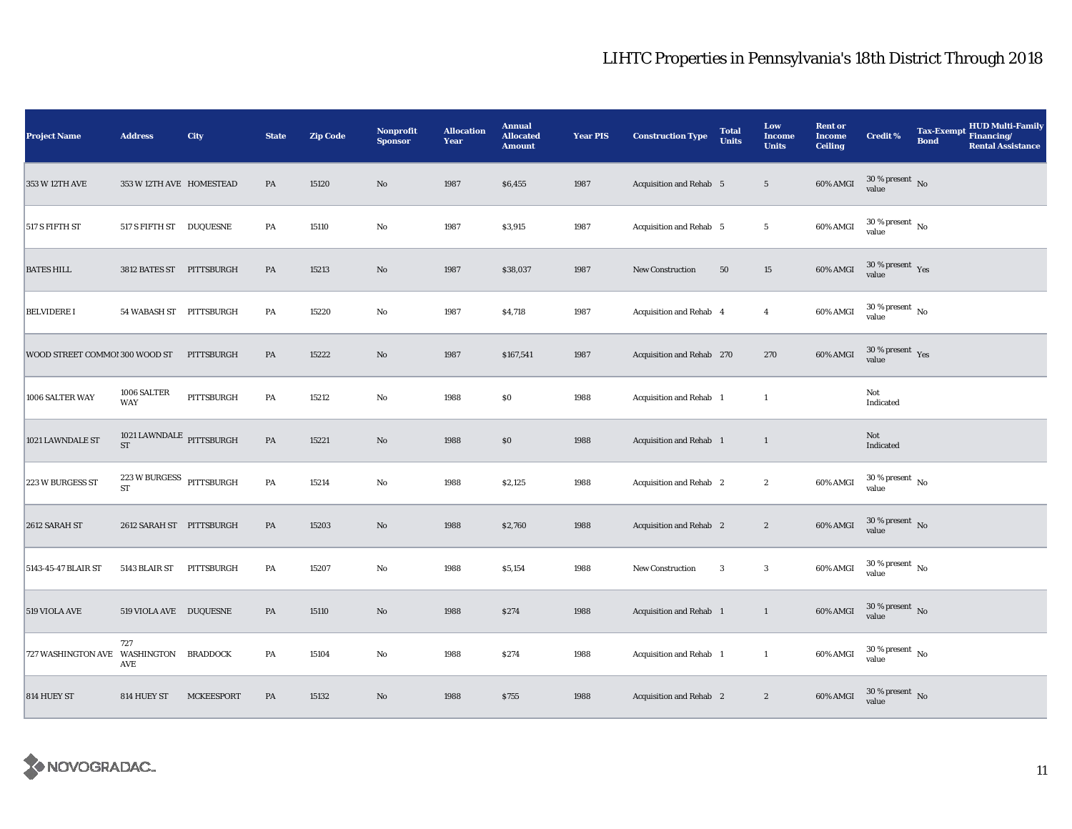| <b>Project Name</b>                    | <b>Address</b>                                    | City              | <b>State</b>  | <b>Zip Code</b> | <b>Nonprofit</b><br><b>Sponsor</b> | <b>Allocation</b><br>Year | <b>Annual</b><br><b>Allocated</b><br><b>Amount</b> | <b>Year PIS</b> | <b>Construction Type</b>       | <b>Total</b><br><b>Units</b> | Low<br><b>Income</b><br><b>Units</b> | <b>Rent or</b><br><b>Income</b><br><b>Ceiling</b> | <b>Credit %</b>                          | <b>Tax-Exempt</b><br><b>Bond</b> | <b>HUD Multi-Family</b><br>Financing/<br><b>Rental Assistance</b> |
|----------------------------------------|---------------------------------------------------|-------------------|---------------|-----------------|------------------------------------|---------------------------|----------------------------------------------------|-----------------|--------------------------------|------------------------------|--------------------------------------|---------------------------------------------------|------------------------------------------|----------------------------------|-------------------------------------------------------------------|
| 353 W 12TH AVE                         | 353 W 12TH AVE HOMESTEAD                          |                   | PA            | 15120           | $\rm No$                           | 1987                      | \$6,455                                            | 1987            | <b>Acquisition and Rehab 5</b> |                              | $5\phantom{.0}$                      | 60% AMGI                                          | $30\,\%$ present $\,$ No value           |                                  |                                                                   |
| 517 S FIFTH ST                         | 517 S FIFTH ST DUQUESNE                           |                   | PA            | 15110           | No                                 | 1987                      | \$3,915                                            | 1987            | Acquisition and Rehab 5        |                              | $5\phantom{.0}$                      | 60% AMGI                                          | $30\,\%$ present $\,$ No $\,$<br>value   |                                  |                                                                   |
| <b>BATES HILL</b>                      | 3812 BATES ST PITTSBURGH                          |                   | PA            | 15213           | $\rm No$                           | 1987                      | \$38,037                                           | 1987            | New Construction               | 50                           | $15\,$                               | $60\%$ AMGI                                       | $30$ % present $\,$ $\rm Yes$<br>value   |                                  |                                                                   |
| <b>BELVIDERE I</b>                     | 54 WABASH ST PITTSBURGH                           |                   | PA            | 15220           | $\rm No$                           | 1987                      | \$4,718                                            | 1987            | Acquisition and Rehab 4        |                              | $\overline{4}$                       | 60% AMGI                                          | $30$ % present $\,$ No $\,$<br>value     |                                  |                                                                   |
| WOOD STREET COMMO! 300 WOOD ST         |                                                   | PITTSBURGH        | PA            | 15222           | $\rm No$                           | 1987                      | \$167,541                                          | 1987            | Acquisition and Rehab 270      |                              | 270                                  | 60% AMGI                                          | $30\,\%$ present $\,$ $\rm Yes$<br>value |                                  |                                                                   |
| 1006 SALTER WAY                        | 1006 SALTER<br><b>WAY</b>                         | PITTSBURGH        | PA            | 15212           | $\mathbf {No}$                     | 1988                      | $\$0$                                              | 1988            | Acquisition and Rehab 1        |                              | $\mathbf{1}$                         |                                                   | Not<br>Indicated                         |                                  |                                                                   |
| 1021 LAWNDALE ST                       | 1021 LAWNDALE $\,$ PITTSBURGH<br>ST               |                   | $\mathbf{PA}$ | 15221           | $\rm No$                           | 1988                      | \$0                                                | 1988            | Acquisition and Rehab 1        |                              | $\mathbf{1}$                         |                                                   | Not<br>Indicated                         |                                  |                                                                   |
| 223 W BURGESS ST                       | $223\,\mathrm{W}\,\mathrm{BURGESS}$ PITTSBURGH ST |                   | $\mathbf{PA}$ | 15214           | $\rm No$                           | 1988                      | \$2,125                                            | 1988            | Acquisition and Rehab 2        |                              | $\boldsymbol{2}$                     | 60% AMGI                                          | $30\,\%$ present $\,$ No $\,$<br>value   |                                  |                                                                   |
| 2612 SARAH ST                          | 2612 SARAH ST PITTSBURGH                          |                   | PA            | 15203           | No                                 | 1988                      | \$2,760                                            | 1988            | Acquisition and Rehab 2        |                              | $\boldsymbol{2}$                     | 60% AMGI                                          | $30$ % present $\,$ No $\,$<br>value     |                                  |                                                                   |
| 5143-45-47 BLAIR ST                    | 5143 BLAIR ST                                     | PITTSBURGH        | PA            | 15207           | $\mathbf{No}$                      | 1988                      | \$5,154                                            | 1988            | New Construction               | $\overline{3}$               | $\boldsymbol{3}$                     | 60% AMGI                                          | $30$ % present $\,$ No $\,$<br>value     |                                  |                                                                   |
| 519 VIOLA AVE                          | 519 VIOLA AVE DUQUESNE                            |                   | PA            | 15110           | $\rm No$                           | 1988                      | \$274                                              | 1988            | Acquisition and Rehab 1        |                              | $\mathbf{1}$                         | 60% AMGI                                          | $30$ % present $\,$ No $\,$<br>value     |                                  |                                                                   |
| 727 WASHINGTON AVE WASHINGTON BRADDOCK | 727<br><b>AVE</b>                                 |                   | PA            | 15104           | $\rm No$                           | 1988                      | \$274                                              | 1988            | Acquisition and Rehab 1        |                              | $\mathbf{1}$                         | 60% AMGI                                          | $30\,\%$ present $\,$ No value           |                                  |                                                                   |
| 814 HUEY ST                            | 814 HUEY ST                                       | <b>MCKEESPORT</b> | PA            | 15132           | No                                 | 1988                      | \$755                                              | 1988            | <b>Acquisition and Rehab</b> 2 |                              | $\boldsymbol{2}$                     | 60% AMGI                                          | $30\,\%$ present $\,$ No value           |                                  |                                                                   |

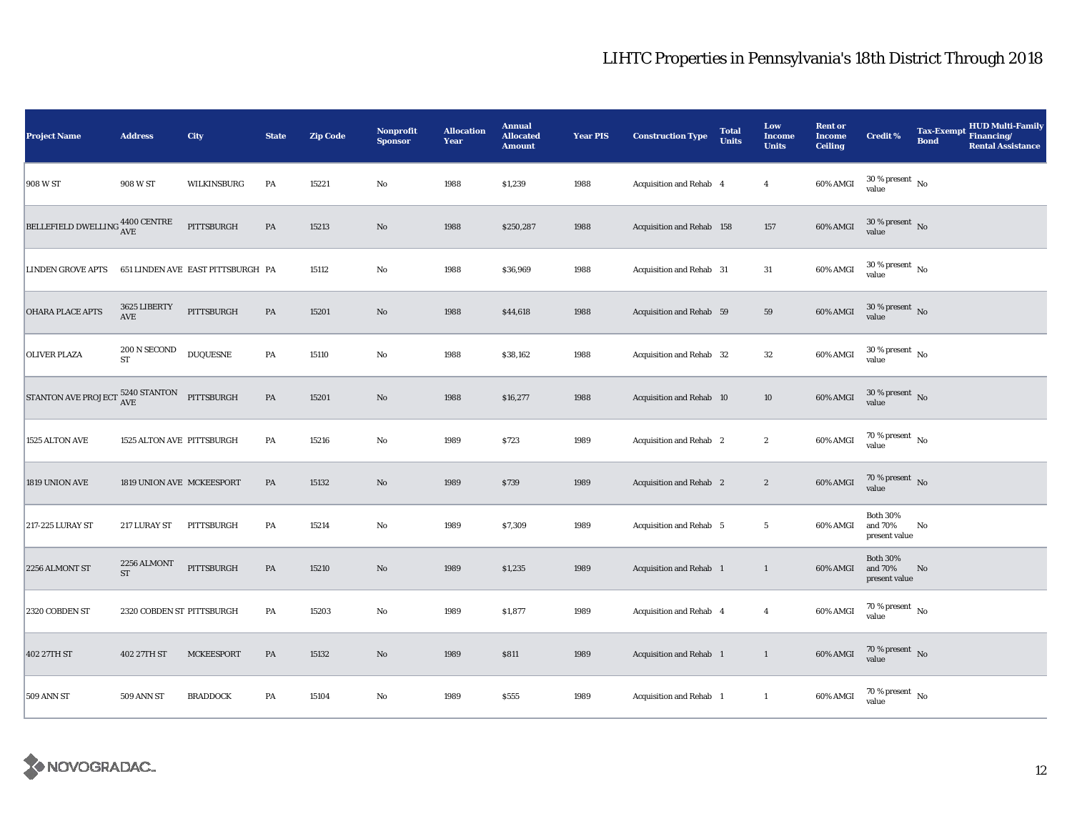| <b>Project Name</b>                                   | <b>Address</b>            | City                              | <b>State</b>  | <b>Zip Code</b> | <b>Nonprofit</b><br><b>Sponsor</b> | <b>Allocation</b><br>Year | <b>Annual</b><br><b>Allocated</b><br><b>Amount</b> | <b>Year PIS</b> | <b>Construction Type</b>  | <b>Total</b><br><b>Units</b> | Low<br><b>Income</b><br><b>Units</b> | <b>Rent or</b><br><b>Income</b><br><b>Ceiling</b> | <b>Credit %</b>                             | <b>Tax-Exempt</b><br><b>Bond</b> | <b>HUD Multi-Family</b><br>Financing/<br><b>Rental Assistance</b> |
|-------------------------------------------------------|---------------------------|-----------------------------------|---------------|-----------------|------------------------------------|---------------------------|----------------------------------------------------|-----------------|---------------------------|------------------------------|--------------------------------------|---------------------------------------------------|---------------------------------------------|----------------------------------|-------------------------------------------------------------------|
| 908 W ST                                              | 908 W ST                  | WILKINSBURG                       | PA            | 15221           | $\rm No$                           | 1988                      | \$1,239                                            | 1988            | Acquisition and Rehab 4   |                              | $\overline{4}$                       | 60% AMGI                                          | $30\,\%$ present $\,$ No value              |                                  |                                                                   |
| BELLEFIELD DWELLING $^{4400\, \rm CENTER} _{\rm AVE}$ |                           | PITTSBURGH                        | PA            | 15213           | $\rm No$                           | 1988                      | \$250,287                                          | 1988            | Acquisition and Rehab 158 |                              | 157                                  | 60% AMGI                                          | $30\,\%$ present $\,$ No $\,$<br>value      |                                  |                                                                   |
| <b>LINDEN GROVE APTS</b>                              |                           | 651 LINDEN AVE EAST PITTSBURGH PA |               | 15112           | $\rm No$                           | 1988                      | \$36,969                                           | 1988            | Acquisition and Rehab 31  |                              | 31                                   | 60% AMGI                                          | $30\,\%$ present $\,$ No $\,$<br>value      |                                  |                                                                   |
| <b>OHARA PLACE APTS</b>                               | 3625 LIBERTY<br>AVE       | PITTSBURGH                        | $\mathbf{PA}$ | 15201           | $\rm No$                           | 1988                      | \$44,618                                           | 1988            | Acquisition and Rehab 59  |                              | 59                                   | 60% AMGI                                          | $30$ % present $\,$ No $\,$<br>value        |                                  |                                                                   |
| <b>OLIVER PLAZA</b>                                   | 200 N SECOND<br><b>ST</b> | <b>DUQUESNE</b>                   | PA            | 15110           | $\rm No$                           | 1988                      | \$38,162                                           | 1988            | Acquisition and Rehab 32  |                              | 32                                   | 60% AMGI                                          | $30$ % present $\,$ No $\,$<br>value        |                                  |                                                                   |
| STANTON AVE PROJECT $^{5240}_{\rm AVE}$               |                           | PITTSBURGH                        | PA            | 15201           | No                                 | 1988                      | \$16,277                                           | 1988            | Acquisition and Rehab 10  |                              | 10                                   | 60% AMGI                                          | $30$ % present $\,$ No $\,$<br>value        |                                  |                                                                   |
| 1525 ALTON AVE                                        | 1525 ALTON AVE PITTSBURGH |                                   | PA            | 15216           | No                                 | 1989                      | \$723                                              | 1989            | Acquisition and Rehab 2   |                              | $\boldsymbol{2}$                     | 60% AMGI                                          | 70 % present $\hbox{~No}$<br>value          |                                  |                                                                   |
| 1819 UNION AVE                                        | 1819 UNION AVE MCKEESPORT |                                   | PA            | 15132           | $\rm No$                           | 1989                      | \$739                                              | 1989            | Acquisition and Rehab 2   |                              | $\boldsymbol{2}$                     | 60% AMGI                                          | 70 % present $\bar{N}$ o<br>value           |                                  |                                                                   |
| 217-225 LURAY ST                                      | 217 LURAY ST              | PITTSBURGH                        | PA            | 15214           | No                                 | 1989                      | \$7,309                                            | 1989            | Acquisition and Rehab 5   |                              | $5\phantom{.0}$                      | 60% AMGI                                          | <b>Both 30%</b><br>and 70%<br>present value | No                               |                                                                   |
| 2256 ALMONT ST                                        | 2256 ALMONT<br><b>ST</b>  | PITTSBURGH                        | PA            | 15210           | $\mathbf{N}\mathbf{o}$             | 1989                      | \$1,235                                            | 1989            | Acquisition and Rehab 1   |                              | $\mathbf{1}$                         | 60% AMGI                                          | <b>Both 30%</b><br>and 70%<br>present value | No                               |                                                                   |
| 2320 COBDEN ST                                        | 2320 COBDEN ST PITTSBURGH |                                   | PA            | 15203           | $\mathbf{N}\mathbf{o}$             | 1989                      | \$1,877                                            | 1989            | Acquisition and Rehab 4   |                              | $\overline{4}$                       | 60% AMGI                                          | 70 % present $\hbox{~No}$<br>value          |                                  |                                                                   |
| 402 27TH ST                                           | 402 27TH ST               | <b>MCKEESPORT</b>                 | PA            | 15132           | $\rm No$                           | 1989                      | \$811                                              | 1989            | Acquisition and Rehab 1   |                              | $\mathbf{1}$                         | 60% AMGI                                          | $70\,\%$ present $\,$ No value              |                                  |                                                                   |
| 509 ANN ST                                            | 509 ANN ST                | <b>BRADDOCK</b>                   | PA            | 15104           | No                                 | 1989                      | \$555                                              | 1989            | Acquisition and Rehab 1   |                              | $\mathbf{1}$                         | 60% AMGI                                          | $70$ % present $\,$ No $\,$<br>value        |                                  |                                                                   |

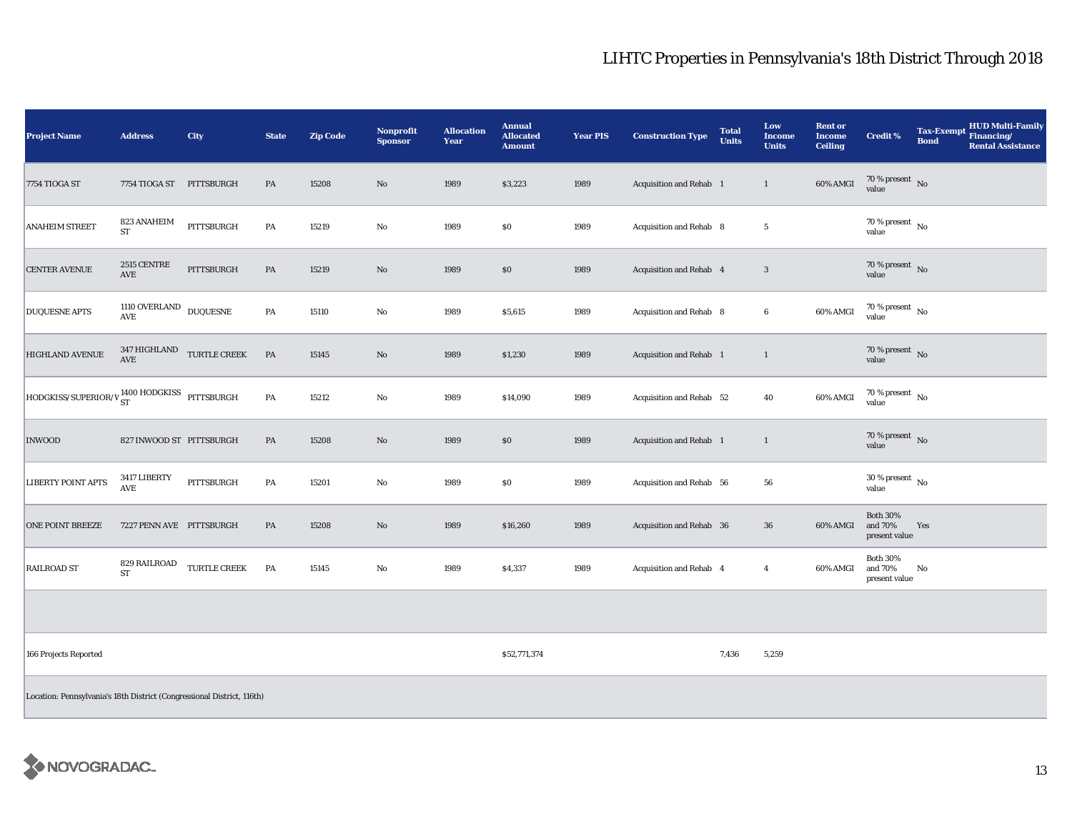| <b>Project Name</b>                                                                         | <b>Address</b>                         | City                                         | <b>State</b>  | <b>Zip Code</b> | <b>Nonprofit</b><br><b>Sponsor</b> | <b>Allocation</b><br>Year | <b>Annual</b><br><b>Allocated</b><br><b>Amount</b> | <b>Year PIS</b> | <b>Construction Type</b> | <b>Total</b><br><b>Units</b> | Low<br><b>Income</b><br><b>Units</b> | <b>Rent or</b><br><b>Income</b><br><b>Ceiling</b> | <b>Credit %</b>                             | Tax-Exempt HUD Multi-Family<br><b>Bond</b><br><b>Rental Assistance</b> |
|---------------------------------------------------------------------------------------------|----------------------------------------|----------------------------------------------|---------------|-----------------|------------------------------------|---------------------------|----------------------------------------------------|-----------------|--------------------------|------------------------------|--------------------------------------|---------------------------------------------------|---------------------------------------------|------------------------------------------------------------------------|
| 7754 TIOGA ST                                                                               | 7754 TIOGA ST PITTSBURGH               |                                              | $\mathbf{PA}$ | 15208           | $\rm No$                           | 1989                      | \$3,223                                            | 1989            | Acquisition and Rehab 1  |                              | $\mathbf{1}$                         | 60% AMGI                                          | $70\,\%$ present $\,$ No value              |                                                                        |
| <b>ANAHEIM STREET</b>                                                                       | 823 ANAHEIM<br><b>ST</b>               | PITTSBURGH                                   | PA            | 15219           | $\mathbf {No}$                     | 1989                      | \$0                                                | 1989            | Acquisition and Rehab 8  |                              | $\sqrt{5}$                           |                                                   | $70\,\%$ present $_{\, \rm No}$<br>value    |                                                                        |
| <b>CENTER AVENUE</b>                                                                        | 2515 CENTRE<br>AVE                     | PITTSBURGH                                   | $\mathbf{PA}$ | 15219           | $\rm No$                           | 1989                      | $\$0$                                              | 1989            | Acquisition and Rehab 4  |                              | $\sqrt{3}$                           |                                                   | 70 % present $\sqrt{\ }$ No<br>value        |                                                                        |
| <b>DUQUESNE APTS</b>                                                                        | $1110$ OVERLAND $\,$ DUQUESNE $\,$ AVE |                                              | PA            | 15110           | $\rm No$                           | 1989                      | \$5,615                                            | 1989            | Acquisition and Rehab 8  |                              | $\boldsymbol{6}$                     | 60% AMGI                                          | $70\,\%$ present $\,$ No value              |                                                                        |
| <b>HIGHLAND AVENUE</b>                                                                      |                                        | $347\,$ HIGHLAND $$\tt TURTLE \,CREEK$$ $\,$ | PA            | 15145           | $\rm No$                           | 1989                      | \$1,230                                            | 1989            | Acquisition and Rehab 1  |                              | $\mathbf{1}$                         |                                                   | $70\,\%$ present $\,$ No value              |                                                                        |
| $\boxed{{\text{HODGKISS/SUPERIOR}/V}}^{\text{1400 HODGKISS}}_{\text{ST}} \text{PITTSBURGH}$ |                                        |                                              | $\mathbf{PA}$ | 15212           | $\rm No$                           | 1989                      | \$14,090                                           | 1989            | Acquisition and Rehab 52 |                              | 40                                   | 60% AMGI                                          | 70 % present $\hbox{~No}$<br>value          |                                                                        |
| <b>INWOOD</b>                                                                               | 827 INWOOD ST PITTSBURGH               |                                              | $\mathbf{PA}$ | 15208           | $\rm No$                           | 1989                      | $\$0$                                              | 1989            | Acquisition and Rehab 1  |                              | $\mathbf{1}$                         |                                                   | $70\,\%$ present $\,$ No value              |                                                                        |
| <b>LIBERTY POINT APTS</b>                                                                   | 3417 LIBERTY<br>AVE                    | PITTSBURGH                                   | PA            | 15201           | $\rm No$                           | 1989                      | \$0                                                | 1989            | Acquisition and Rehab 56 |                              | 56                                   |                                                   | $30\,\%$ present $\,$ No $\,$<br>value      |                                                                        |
| <b>ONE POINT BREEZE</b>                                                                     | 7227 PENN AVE PITTSBURGH               |                                              | PA            | 15208           | $\rm No$                           | 1989                      | \$16,260                                           | 1989            | Acquisition and Rehab 36 |                              | $36\,$                               | 60% AMGI                                          | <b>Both 30%</b><br>and 70%<br>present value | Yes                                                                    |
| <b>RAILROAD ST</b>                                                                          | 829 RAILROAD<br><b>ST</b>              | TURTLE CREEK                                 | PA            | 15145           | No                                 | 1989                      | \$4,337                                            | 1989            | Acquisition and Rehab 4  |                              | $\overline{4}$                       | 60% AMGI                                          | <b>Both 30%</b><br>and 70%<br>present value | No                                                                     |
|                                                                                             |                                        |                                              |               |                 |                                    |                           |                                                    |                 |                          |                              |                                      |                                                   |                                             |                                                                        |
| 166 Projects Reported                                                                       |                                        |                                              |               |                 |                                    |                           | \$52,771,374                                       |                 |                          | 7,436                        | 5,259                                |                                                   |                                             |                                                                        |
| Location: Pennsylvania's 18th District (Congressional District, 116th)                      |                                        |                                              |               |                 |                                    |                           |                                                    |                 |                          |                              |                                      |                                                   |                                             |                                                                        |